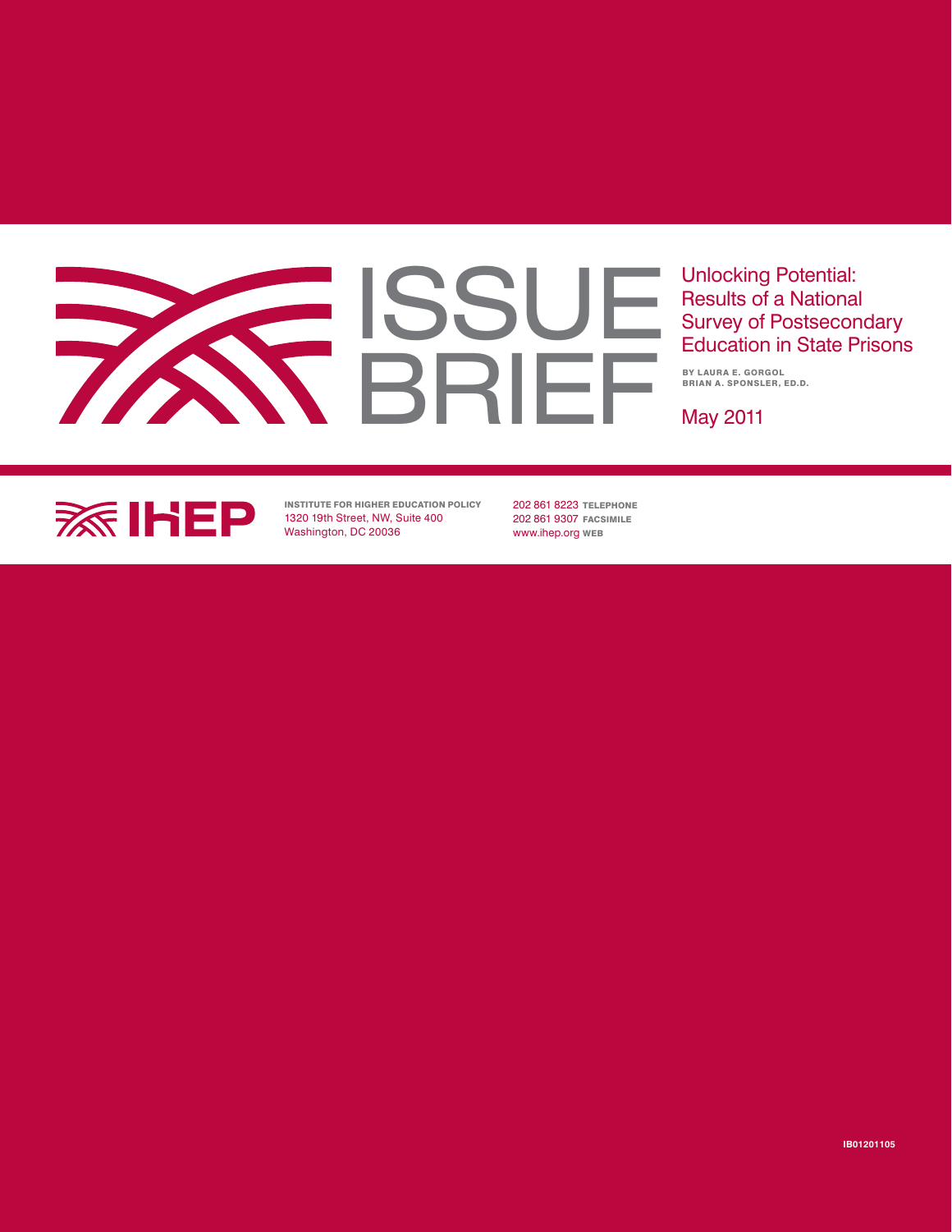# **ISSUE** BRIEF

Unlocking Potential: Results of a National Survey of Postsecondary Education in State Prisons

By Laura E. Gorgol BRIAN A. SPONSLER, ED.D.

May 2011



Institute for Higher Education Policy 1320 19th Street, NW, Suite 400 Washington, DC 20036

202 861 8223 TELEPHONE 202 861 9307 FACSIMILE www.ihep.org Web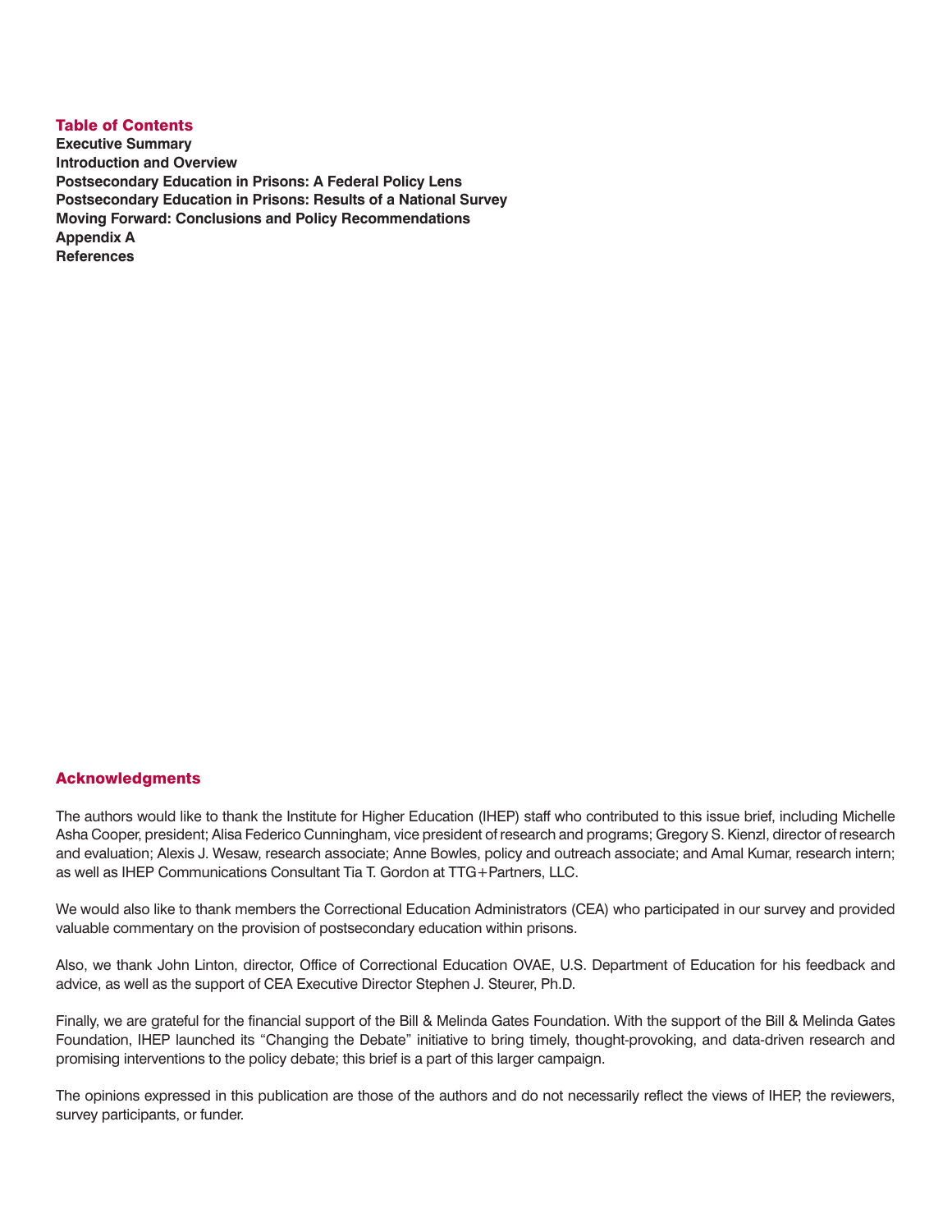### Table of Contents **Executive Summary Introduction and Overview Postsecondary Education in Prisons: A Federal Policy Lens Postsecondary Education in Prisons: Results of a National Survey Moving Forward: Conclusions and Policy Recommendations Appendix A References**

### Acknowledgments

The authors would like to thank the Institute for Higher Education (IHEP) staff who contributed to this issue brief, including Michelle Asha Cooper, president; Alisa Federico Cunningham, vice president of research and programs; Gregory S. Kienzl, director of research and evaluation; Alexis J. Wesaw, research associate; Anne Bowles, policy and outreach associate; and Amal Kumar, research intern; as well as IHEP Communications Consultant Tia T. Gordon at TTG+Partners, LLC.

We would also like to thank members the Correctional Education Administrators (CEA) who participated in our survey and provided valuable commentary on the provision of postsecondary education within prisons.

Also, we thank John Linton, director, Office of Correctional Education OVAE, U.S. Department of Education for his feedback and advice, as well as the support of CEA Executive Director Stephen J. Steurer, Ph.D.

Finally, we are grateful for the financial support of the Bill & Melinda Gates Foundation. With the support of the Bill & Melinda Gates Foundation, IHEP launched its "Changing the Debate" initiative to bring timely, thought-provoking, and data-driven research and promising interventions to the policy debate; this brief is a part of this larger campaign.

The opinions expressed in this publication are those of the authors and do not necessarily reflect the views of IHEP, the reviewers, survey participants, or funder.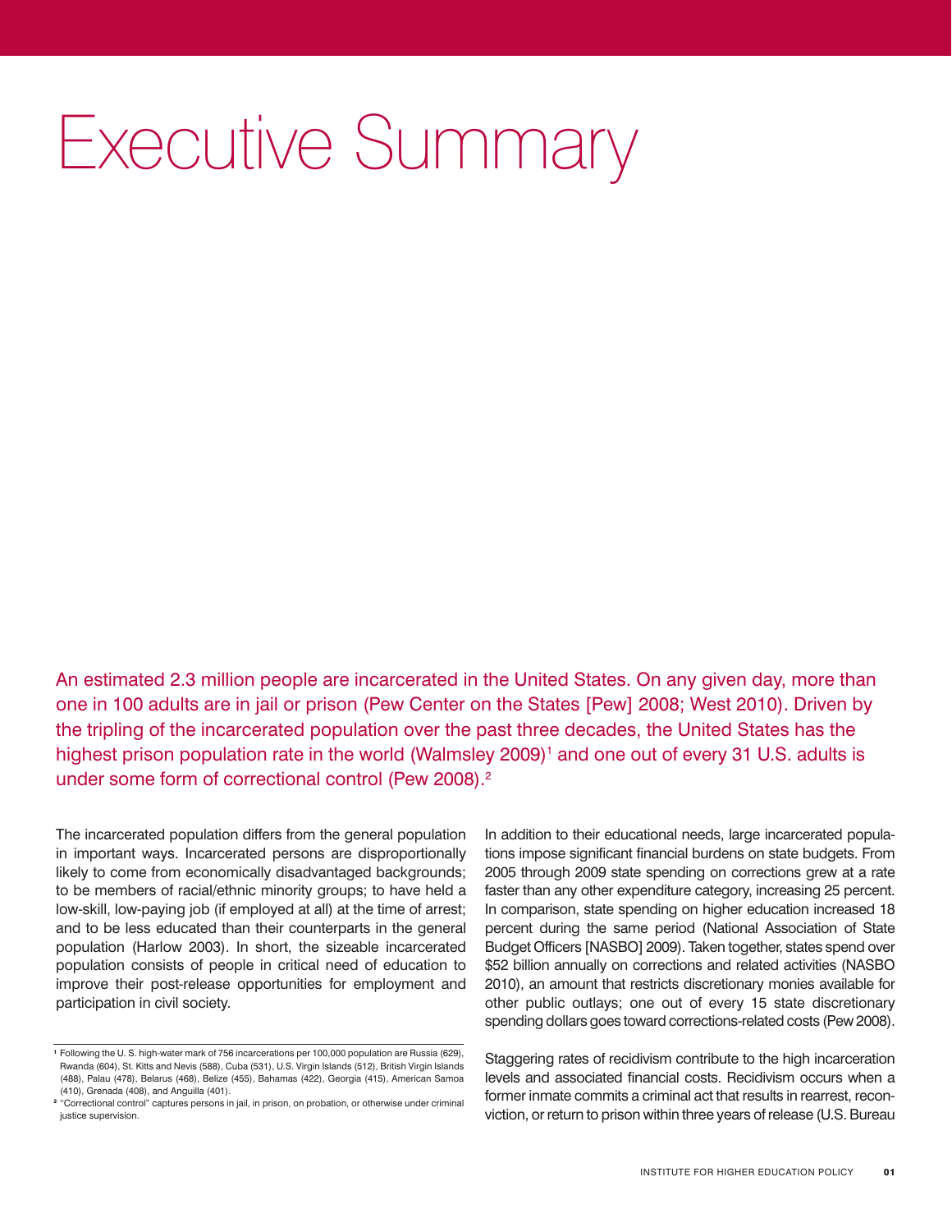# Executive Summary

An estimated 2.3 million people are incarcerated in the United States. On any given day, more than one in 100 adults are in jail or prison (Pew Center on the States [Pew] 2008; West 2010). Driven by the tripling of the incarcerated population over the past three decades, the United States has the highest prison population rate in the world (Walmsley 2009)<sup>1</sup> and one out of every 31 U.S. adults is under some form of correctional control (Pew 2008).<sup>2</sup>

The incarcerated population differs from the general population in important ways. Incarcerated persons are disproportionally likely to come from economically disadvantaged backgrounds; to be members of racial/ethnic minority groups; to have held a low-skill, low-paying job (if employed at all) at the time of arrest; and to be less educated than their counterparts in the general population (Harlow 2003). In short, the sizeable incarcerated population consists of people in critical need of education to improve their post-release opportunities for employment and participation in civil society.

In addition to their educational needs, large incarcerated populations impose significant financial burdens on state budgets. From 2005 through 2009 state spending on corrections grew at a rate faster than any other expenditure category, increasing 25 percent. In comparison, state spending on higher education increased 18 percent during the same period (National Association of State Budget Officers [NASBO] 2009). Taken together, states spend over \$52 billion annually on corrections and related activities (NASBO 2010), an amount that restricts discretionary monies available for other public outlays; one out of every 15 state discretionary spending dollars goes toward corrections-related costs (Pew 2008).

Staggering rates of recidivism contribute to the high incarceration levels and associated financial costs. Recidivism occurs when a former inmate commits a criminal act that results in rearrest, reconviction, or return to prison within three years of release (U.S. Bureau

<sup>1</sup> Following the U. S. high-water mark of 756 incarcerations per 100,000 population are Russia (629), Rwanda (604), St. Kitts and Nevis (588), Cuba (531), U.S. Virgin Islands (512), British Virgin Islands (488), Palau (478), Belarus (468), Belize (455), Bahamas (422), Georgia (415), American Samoa (410), Grenada (408), and Anguilla (401).

<sup>2</sup> "Correctional control" captures persons in jail, in prison, on probation, or otherwise under criminal justice supervision.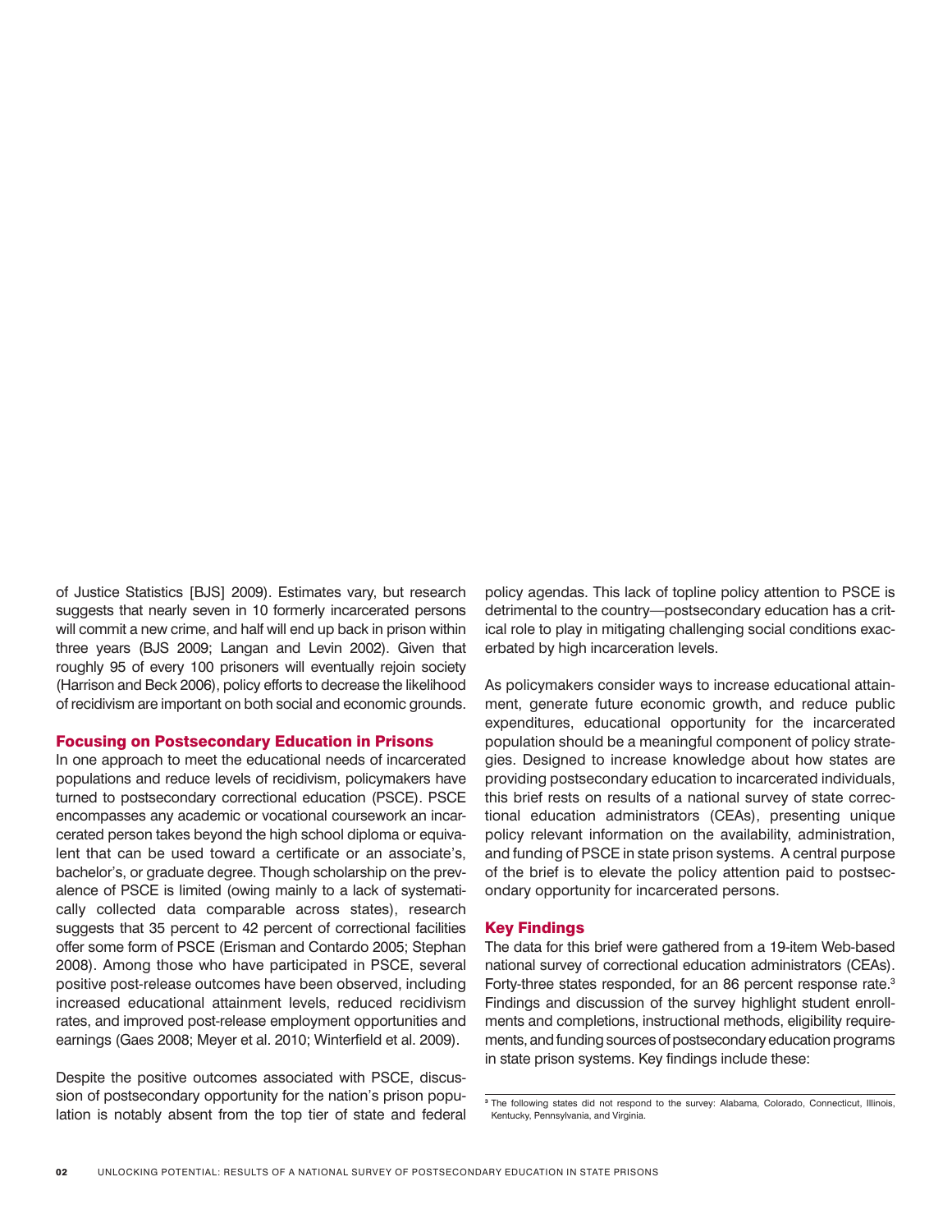of Justice Statistics [BJS] 2009). Estimates vary, but research suggests that nearly seven in 10 formerly incarcerated persons will commit a new crime, and half will end up back in prison within three years (BJS 2009; Langan and Levin 2002). Given that roughly 95 of every 100 prisoners will eventually rejoin society (Harrison and Beck 2006), policy efforts to decrease the likelihood of recidivism are important on both social and economic grounds.

#### Focusing on Postsecondary Education in Prisons

In one approach to meet the educational needs of incarcerated populations and reduce levels of recidivism, policymakers have turned to postsecondary correctional education (PSCE). PSCE encompasses any academic or vocational coursework an incarcerated person takes beyond the high school diploma or equivalent that can be used toward a certificate or an associate's, bachelor's, or graduate degree. Though scholarship on the prevalence of PSCE is limited (owing mainly to a lack of systematically collected data comparable across states), research suggests that 35 percent to 42 percent of correctional facilities offer some form of PSCE (Erisman and Contardo 2005; Stephan 2008). Among those who have participated in PSCE, several positive post-release outcomes have been observed, including increased educational attainment levels, reduced recidivism rates, and improved post-release employment opportunities and earnings (Gaes 2008; Meyer et al. 2010; Winterfield et al. 2009).

Despite the positive outcomes associated with PSCE, discussion of postsecondary opportunity for the nation's prison population is notably absent from the top tier of state and federal policy agendas. This lack of topline policy attention to PSCE is detrimental to the country—postsecondary education has a critical role to play in mitigating challenging social conditions exacerbated by high incarceration levels.

As policymakers consider ways to increase educational attainment, generate future economic growth, and reduce public expenditures, educational opportunity for the incarcerated population should be a meaningful component of policy strategies. Designed to increase knowledge about how states are providing postsecondary education to incarcerated individuals, this brief rests on results of a national survey of state correctional education administrators (CEAs), presenting unique policy relevant information on the availability, administration, and funding of PSCE in state prison systems. A central purpose of the brief is to elevate the policy attention paid to postsecondary opportunity for incarcerated persons.

#### Key Findings

The data for this brief were gathered from a 19-item Web-based national survey of correctional education administrators (CEAs). Forty-three states responded, for an 86 percent response rate.<sup>3</sup> Findings and discussion of the survey highlight student enrollments and completions, instructional methods, eligibility requirements, and funding sources of postsecondary education programs in state prison systems. Key findings include these:

<sup>3</sup> The following states did not respond to the survey: Alabama, Colorado, Connecticut, Illinois, Kentucky, Pennsylvania, and Virginia.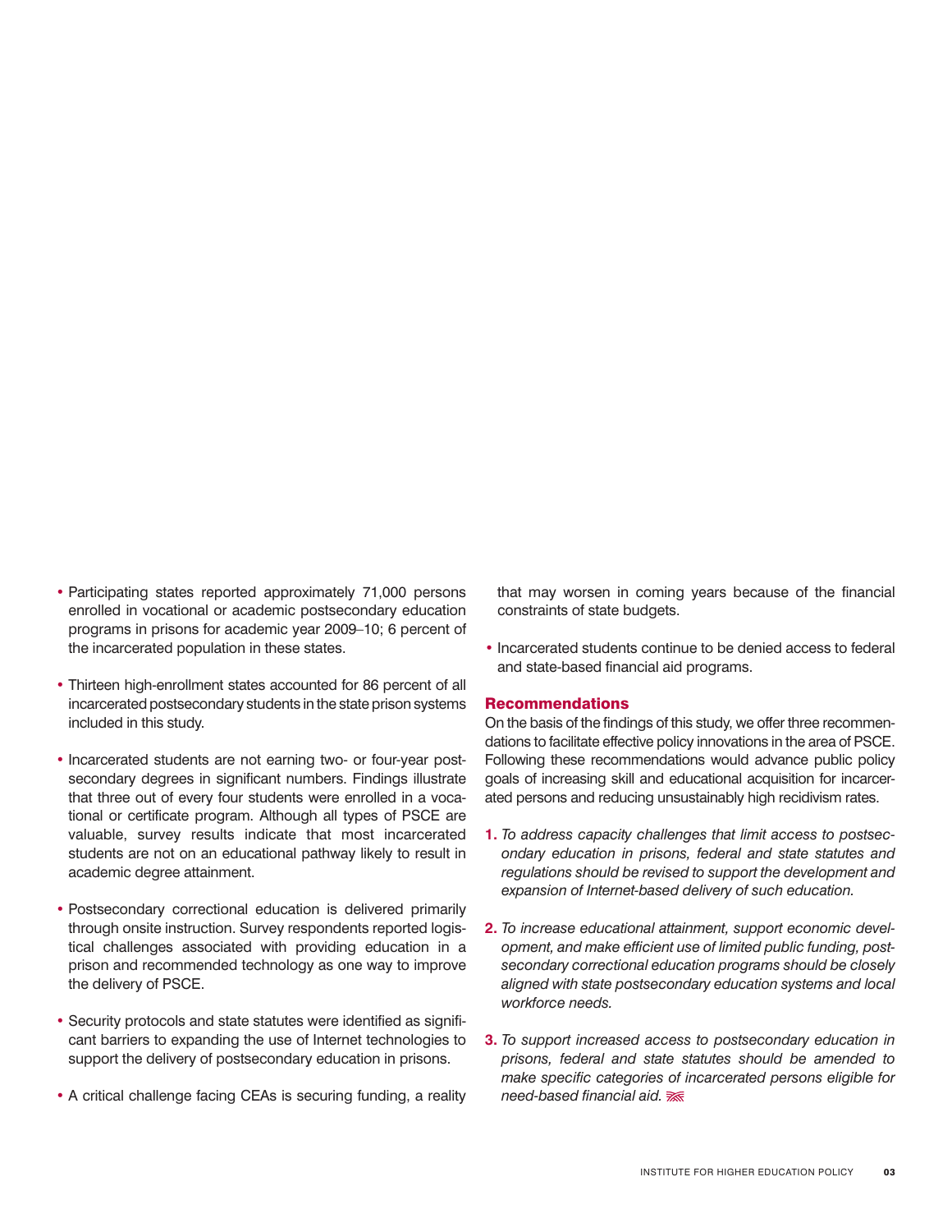- Participating states reported approximately 71,000 persons enrolled in vocational or academic postsecondary education programs in prisons for academic year 2009–10; 6 percent of the incarcerated population in these states.
- Thirteen high-enrollment states accounted for 86 percent of all incarcerated postsecondary students in the state prison systems included in this study.
- Incarcerated students are not earning two- or four-year postsecondary degrees in significant numbers. Findings illustrate that three out of every four students were enrolled in a vocational or certificate program. Although all types of PSCE are valuable, survey results indicate that most incarcerated students are not on an educational pathway likely to result in academic degree attainment.
- Postsecondary correctional education is delivered primarily through onsite instruction. Survey respondents reported logistical challenges associated with providing education in a prison and recommended technology as one way to improve the delivery of PSCE.
- Security protocols and state statutes were identified as significant barriers to expanding the use of Internet technologies to support the delivery of postsecondary education in prisons.
- A critical challenge facing CEAs is securing funding, a reality

that may worsen in coming years because of the financial constraints of state budgets.

• Incarcerated students continue to be denied access to federal and state-based financial aid programs.

#### Recommendations

On the basis of the findings of this study, we offer three recommendations to facilitate effective policy innovations in the area of PSCE. Following these recommendations would advance public policy goals of increasing skill and educational acquisition for incarcerated persons and reducing unsustainably high recidivism rates.

- **1.** *To address capacity challenges that limit access to postsecondary education in prisons, federal and state statutes and regulations should be revised to support the development and expansion of Internet-based delivery of such education.*
- **2.** *To increase educational attainment, support economic development, and make efficient use of limited public funding, postsecondary correctional education programs should be closely aligned with state postsecondary education systems and local workforce needs.*
- **3.** *To support increased access to postsecondary education in prisons, federal and state statutes should be amended to make specific categories of incarcerated persons eligible for need-based financial aid.*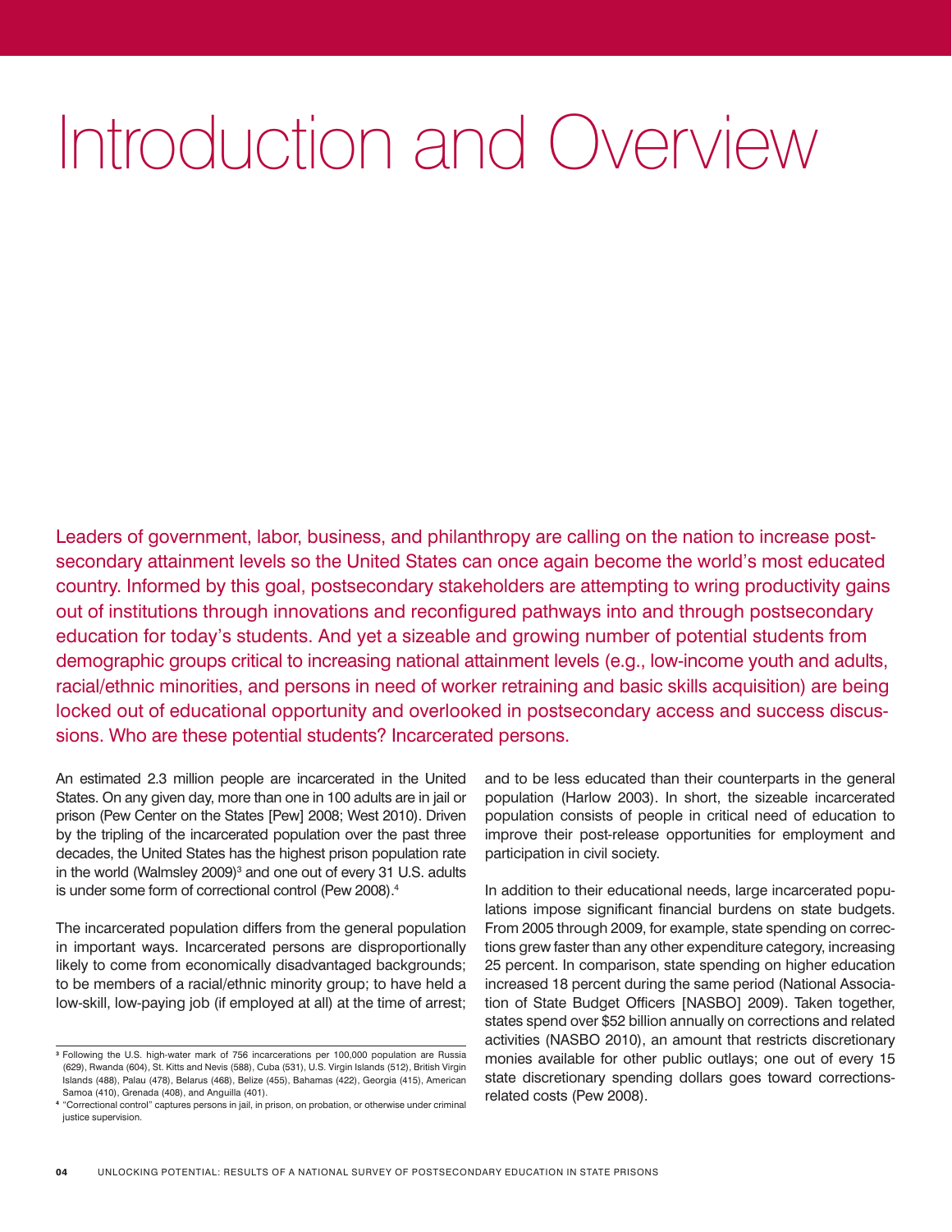# Introduction and Overview

Leaders of government, labor, business, and philanthropy are calling on the nation to increase postsecondary attainment levels so the United States can once again become the world's most educated country. Informed by this goal, postsecondary stakeholders are attempting to wring productivity gains out of institutions through innovations and reconfigured pathways into and through postsecondary education for today's students. And yet a sizeable and growing number of potential students from demographic groups critical to increasing national attainment levels (e.g., low-income youth and adults, racial/ethnic minorities, and persons in need of worker retraining and basic skills acquisition) are being locked out of educational opportunity and overlooked in postsecondary access and success discussions. Who are these potential students? Incarcerated persons.

An estimated 2.3 million people are incarcerated in the United States. On any given day, more than one in 100 adults are in jail or prison (Pew Center on the States [Pew] 2008; West 2010). Driven by the tripling of the incarcerated population over the past three decades, the United States has the highest prison population rate in the world (Walmsley 2009)<sup>3</sup> and one out of every 31 U.S. adults is under some form of correctional control (Pew 2008).4

The incarcerated population differs from the general population in important ways. Incarcerated persons are disproportionally likely to come from economically disadvantaged backgrounds; to be members of a racial/ethnic minority group; to have held a low-skill, low-paying job (if employed at all) at the time of arrest;

and to be less educated than their counterparts in the general population (Harlow 2003). In short, the sizeable incarcerated population consists of people in critical need of education to improve their post-release opportunities for employment and participation in civil society.

In addition to their educational needs, large incarcerated populations impose significant financial burdens on state budgets. From 2005 through 2009, for example, state spending on corrections grew faster than any other expenditure category, increasing 25 percent. In comparison, state spending on higher education increased 18 percent during the same period (National Association of State Budget Officers [NASBO] 2009). Taken together, states spend over \$52 billion annually on corrections and related activities (NASBO 2010), an amount that restricts discretionary monies available for other public outlays; one out of every 15 state discretionary spending dollars goes toward correctionsrelated costs (Pew 2008).

<sup>3</sup> Following the U.S. high-water mark of 756 incarcerations per 100,000 population are Russia (629), Rwanda (604), St. Kitts and Nevis (588), Cuba (531), U.S. Virgin Islands (512), British Virgin Islands (488), Palau (478), Belarus (468), Belize (455), Bahamas (422), Georgia (415), American Samoa (410), Grenada (408), and Anguilla (401).

<sup>4</sup> "Correctional control" captures persons in jail, in prison, on probation, or otherwise under criminal justice supervision.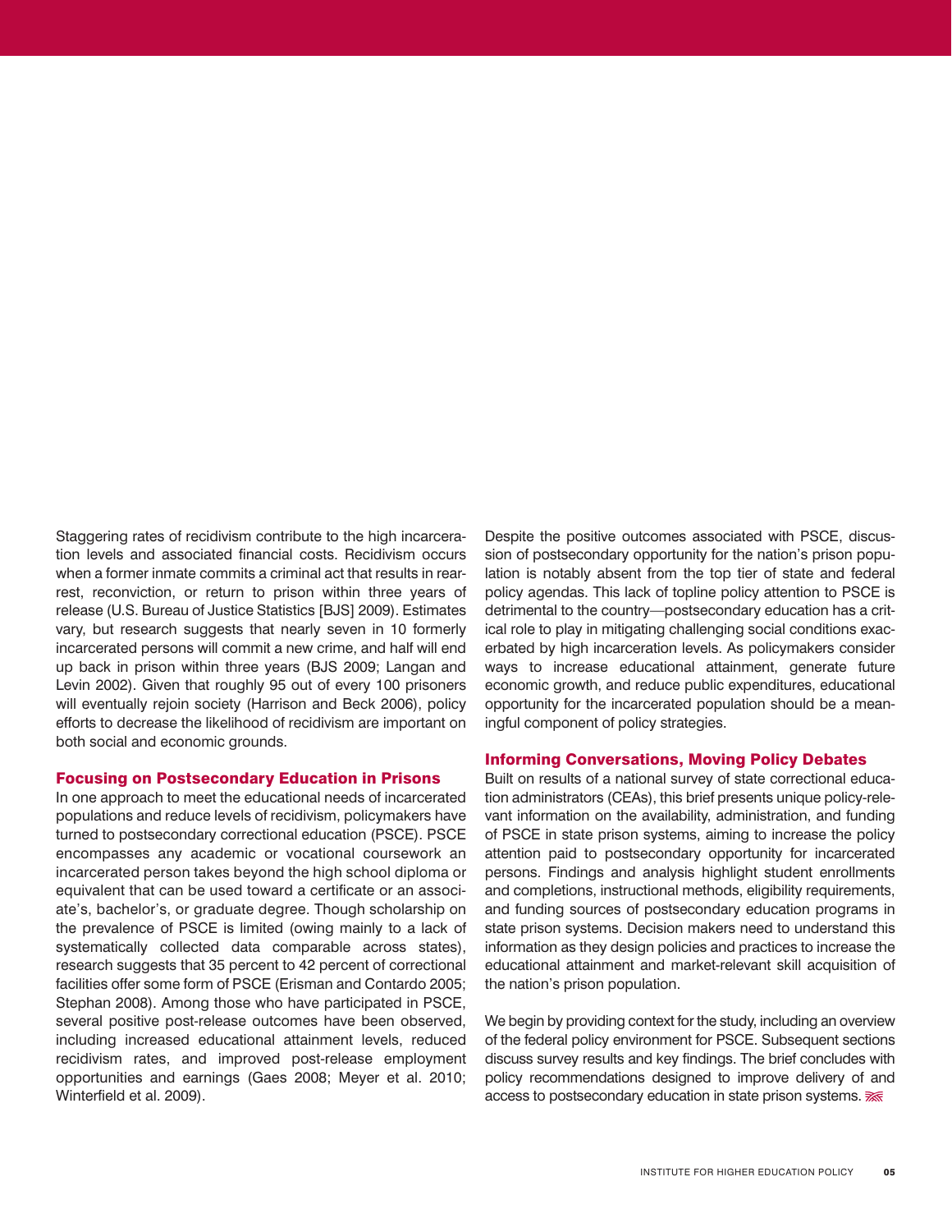Staggering rates of recidivism contribute to the high incarceration levels and associated financial costs. Recidivism occurs when a former inmate commits a criminal act that results in rearrest, reconviction, or return to prison within three years of release (U.S. Bureau of Justice Statistics [BJS] 2009). Estimates vary, but research suggests that nearly seven in 10 formerly incarcerated persons will commit a new crime, and half will end up back in prison within three years (BJS 2009; Langan and Levin 2002). Given that roughly 95 out of every 100 prisoners will eventually rejoin society (Harrison and Beck 2006), policy efforts to decrease the likelihood of recidivism are important on both social and economic grounds.

### Focusing on Postsecondary Education in Prisons

In one approach to meet the educational needs of incarcerated populations and reduce levels of recidivism, policymakers have turned to postsecondary correctional education (PSCE). PSCE encompasses any academic or vocational coursework an incarcerated person takes beyond the high school diploma or equivalent that can be used toward a certificate or an associate's, bachelor's, or graduate degree. Though scholarship on the prevalence of PSCE is limited (owing mainly to a lack of systematically collected data comparable across states), research suggests that 35 percent to 42 percent of correctional facilities offer some form of PSCE (Erisman and Contardo 2005; Stephan 2008). Among those who have participated in PSCE, several positive post-release outcomes have been observed, including increased educational attainment levels, reduced recidivism rates, and improved post-release employment opportunities and earnings (Gaes 2008; Meyer et al. 2010; Winterfield et al. 2009).

Despite the positive outcomes associated with PSCE, discussion of postsecondary opportunity for the nation's prison population is notably absent from the top tier of state and federal policy agendas. This lack of topline policy attention to PSCE is detrimental to the country—postsecondary education has a critical role to play in mitigating challenging social conditions exacerbated by high incarceration levels. As policymakers consider ways to increase educational attainment, generate future economic growth, and reduce public expenditures, educational opportunity for the incarcerated population should be a meaningful component of policy strategies.

#### Informing Conversations, Moving Policy Debates

Built on results of a national survey of state correctional education administrators (CEAs), this brief presents unique policy-relevant information on the availability, administration, and funding of PSCE in state prison systems, aiming to increase the policy attention paid to postsecondary opportunity for incarcerated persons. Findings and analysis highlight student enrollments and completions, instructional methods, eligibility requirements, and funding sources of postsecondary education programs in state prison systems. Decision makers need to understand this information as they design policies and practices to increase the educational attainment and market-relevant skill acquisition of the nation's prison population.

We begin by providing context for the study, including an overview of the federal policy environment for PSCE. Subsequent sections discuss survey results and key findings. The brief concludes with policy recommendations designed to improve delivery of and access to postsecondary education in state prison systems.  $\overline{\mathcal{K}}$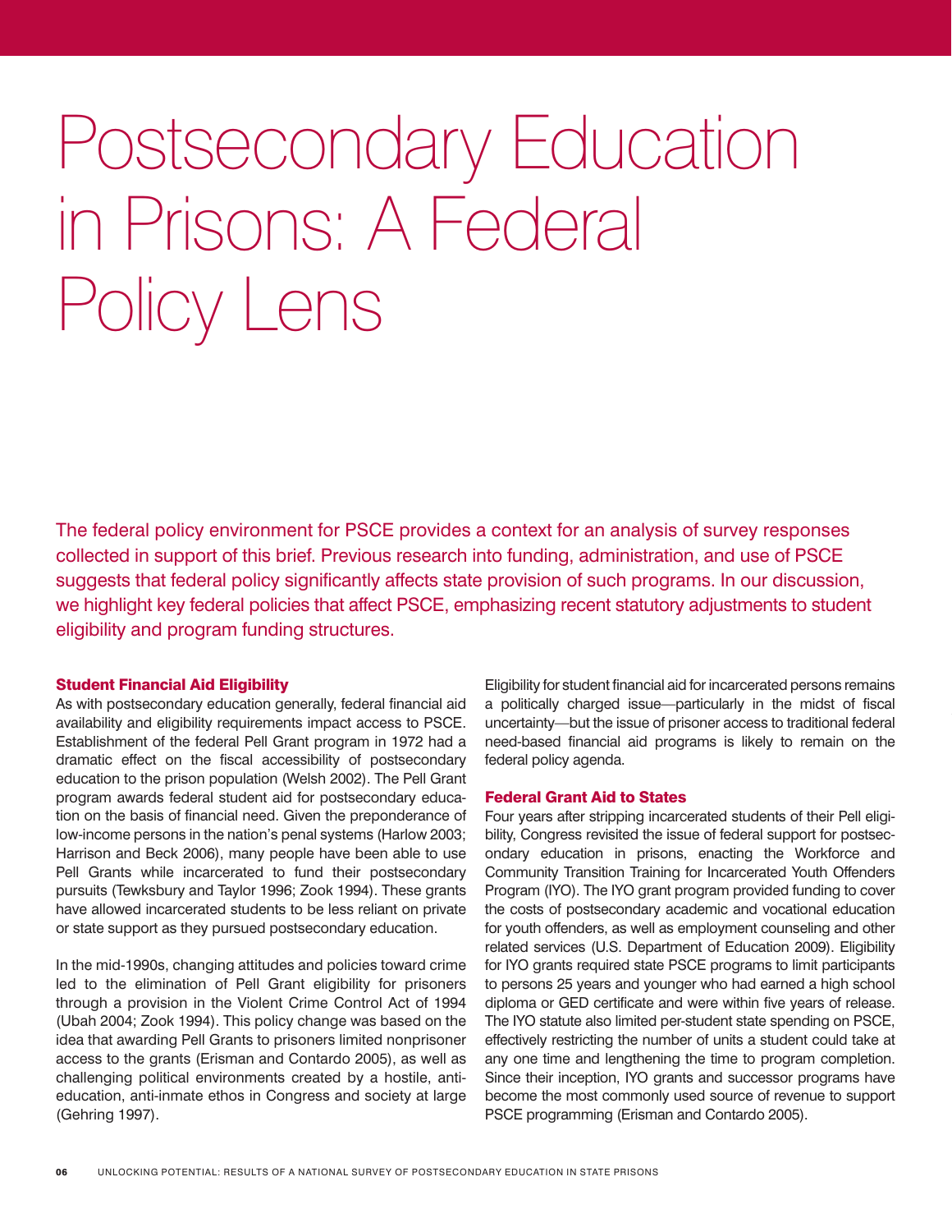# Postsecondary Education in Prisons: A Federal Policy Lens

The federal policy environment for PSCE provides a context for an analysis of survey responses collected in support of this brief. Previous research into funding, administration, and use of PSCE suggests that federal policy significantly affects state provision of such programs. In our discussion, we highlight key federal policies that affect PSCE, emphasizing recent statutory adjustments to student eligibility and program funding structures.

#### Student Financial Aid Eligibility

As with postsecondary education generally, federal financial aid availability and eligibility requirements impact access to PSCE. Establishment of the federal Pell Grant program in 1972 had a dramatic effect on the fiscal accessibility of postsecondary education to the prison population (Welsh 2002). The Pell Grant program awards federal student aid for postsecondary education on the basis of financial need. Given the preponderance of low-income persons in the nation's penal systems (Harlow 2003; Harrison and Beck 2006), many people have been able to use Pell Grants while incarcerated to fund their postsecondary pursuits (Tewksbury and Taylor 1996; Zook 1994). These grants have allowed incarcerated students to be less reliant on private or state support as they pursued postsecondary education.

In the mid-1990s, changing attitudes and policies toward crime led to the elimination of Pell Grant eligibility for prisoners through a provision in the Violent Crime Control Act of 1994 (Ubah 2004; Zook 1994). This policy change was based on the idea that awarding Pell Grants to prisoners limited nonprisoner access to the grants (Erisman and Contardo 2005), as well as challenging political environments created by a hostile, antieducation, anti-inmate ethos in Congress and society at large (Gehring 1997).

Eligibility for student financial aid for incarcerated persons remains a politically charged issue—particularly in the midst of fiscal uncertainty—but the issue of prisoner access to traditional federal need-based financial aid programs is likely to remain on the federal policy agenda.

#### Federal Grant Aid to States

Four years after stripping incarcerated students of their Pell eligibility, Congress revisited the issue of federal support for postsecondary education in prisons, enacting the Workforce and Community Transition Training for Incarcerated Youth Offenders Program (IYO). The IYO grant program provided funding to cover the costs of postsecondary academic and vocational education for youth offenders, as well as employment counseling and other related services (U.S. Department of Education 2009). Eligibility for IYO grants required state PSCE programs to limit participants to persons 25 years and younger who had earned a high school diploma or GED certificate and were within five years of release. The IYO statute also limited per-student state spending on PSCE, effectively restricting the number of units a student could take at any one time and lengthening the time to program completion. Since their inception, IYO grants and successor programs have become the most commonly used source of revenue to support PSCE programming (Erisman and Contardo 2005).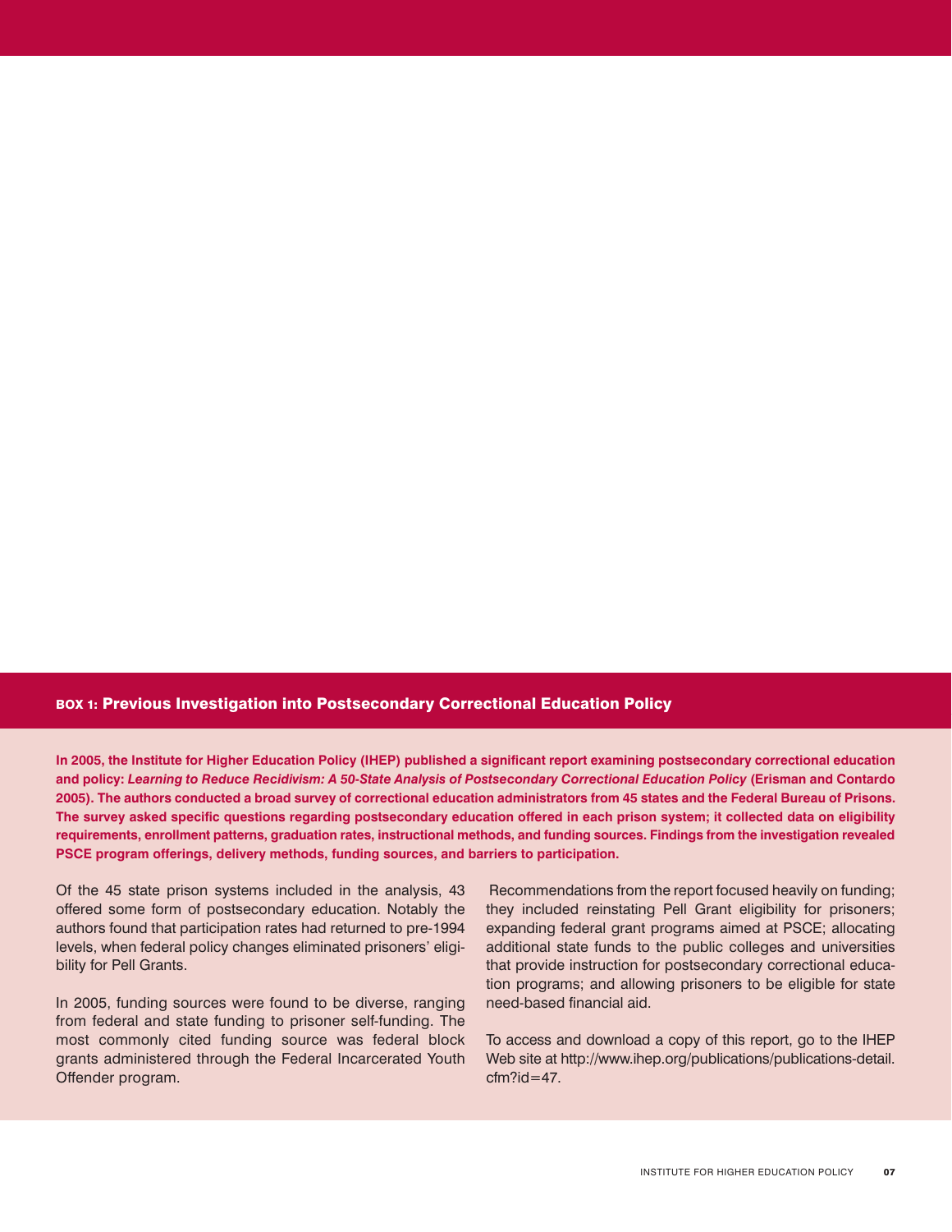#### box 1: Previous Investigation into Postsecondary Correctional Education Policy

**In 2005, the Institute for Higher Education Policy (IHEP) published a significant report examining postsecondary correctional education and policy:** *Learning to Reduce Recidivism: A 50-State Analysis of Postsecondary Correctional Education Policy* **(Erisman and Contardo 2005). The authors conducted a broad survey of correctional education administrators from 45 states and the Federal Bureau of Prisons. The survey asked specific questions regarding postsecondary education offered in each prison system; it collected data on eligibility requirements, enrollment patterns, graduation rates, instructional methods, and funding sources. Findings from the investigation revealed PSCE program offerings, delivery methods, funding sources, and barriers to participation.** 

Of the 45 state prison systems included in the analysis, 43 offered some form of postsecondary education. Notably the authors found that participation rates had returned to pre-1994 levels, when federal policy changes eliminated prisoners' eligibility for Pell Grants.

In 2005, funding sources were found to be diverse, ranging from federal and state funding to prisoner self-funding. The most commonly cited funding source was federal block grants administered through the Federal Incarcerated Youth Offender program.

 Recommendations from the report focused heavily on funding; they included reinstating Pell Grant eligibility for prisoners; expanding federal grant programs aimed at PSCE; allocating additional state funds to the public colleges and universities that provide instruction for postsecondary correctional education programs; and allowing prisoners to be eligible for state need-based financial aid.

To access and download a copy of this report, go to the IHEP Web site at http://www.ihep.org/publications/publications-detail.  $cfm?id = 47.$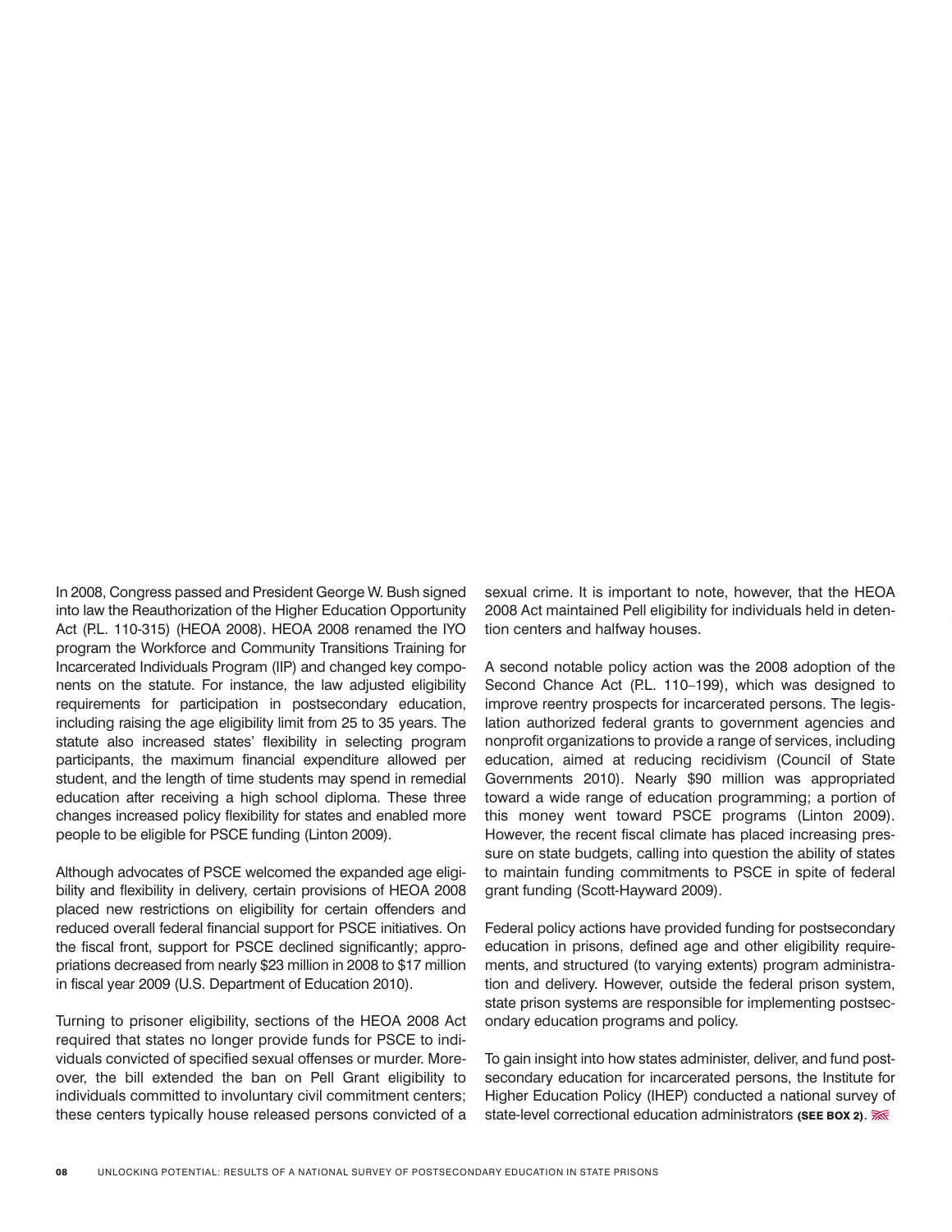In 2008, Congress passed and President George W. Bush signed into law the Reauthorization of the Higher Education Opportunity Act (P.L. 110-315) (HEOA 2008). HEOA 2008 renamed the IYO program the Workforce and Community Transitions Training for Incarcerated Individuals Program (IIP) and changed key components on the statute. For instance, the law adjusted eligibility requirements for participation in postsecondary education, including raising the age eligibility limit from 25 to 35 years. The statute also increased states' flexibility in selecting program participants, the maximum financial expenditure allowed per student, and the length of time students may spend in remedial education after receiving a high school diploma. These three changes increased policy flexibility for states and enabled more people to be eligible for PSCE funding (Linton 2009).

Although advocates of PSCE welcomed the expanded age eligibility and flexibility in delivery, certain provisions of HEOA 2008 placed new restrictions on eligibility for certain offenders and reduced overall federal financial support for PSCE initiatives. On the fiscal front, support for PSCE declined significantly; appropriations decreased from nearly \$23 million in 2008 to \$17 million in fiscal year 2009 (U.S. Department of Education 2010).

Turning to prisoner eligibility, sections of the HEOA 2008 Act required that states no longer provide funds for PSCE to individuals convicted of specified sexual offenses or murder. Moreover, the bill extended the ban on Pell Grant eligibility to individuals committed to involuntary civil commitment centers; these centers typically house released persons convicted of a

sexual crime. It is important to note, however, that the HEOA 2008 Act maintained Pell eligibility for individuals held in detention centers and halfway houses.

A second notable policy action was the 2008 adoption of the Second Chance Act (P.L. 110-199), which was designed to improve reentry prospects for incarcerated persons. The legislation authorized federal grants to government agencies and nonprofit organizations to provide a range of services, including education, aimed at reducing recidivism (Council of State Governments 2010). Nearly \$90 million was appropriated toward a wide range of education programming; a portion of this money went toward PSCE programs (Linton 2009). However, the recent fiscal climate has placed increasing pressure on state budgets, calling into question the ability of states to maintain funding commitments to PSCE in spite of federal grant funding (Scott-Hayward 2009).

Federal policy actions have provided funding for postsecondary education in prisons, defined age and other eligibility requirements, and structured (to varying extents) program administration and delivery. However, outside the federal prison system, state prison systems are responsible for implementing postsecondary education programs and policy.

To gain insight into how states administer, deliver, and fund postsecondary education for incarcerated persons, the Institute for Higher Education Policy (IHEP) conducted a national survey of state-level correctional education administrators (SEE BOX 2).  $\overline{\mathcal{R}}$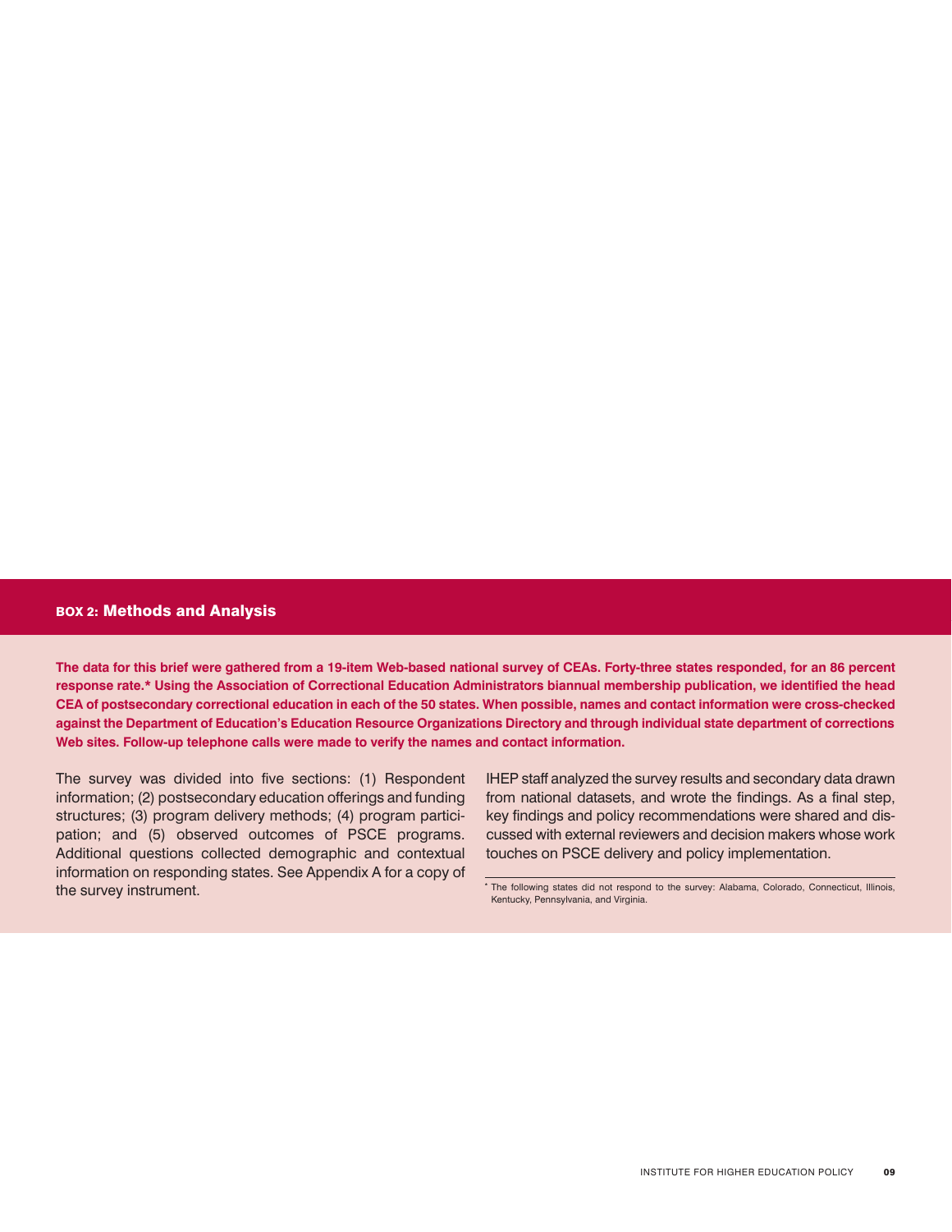#### box 2: Methods and Analysis

**The data for this brief were gathered from a 19-item Web-based national survey of CEAs. Forty-three states responded, for an 86 percent response rate.\* Using the Association of Correctional Education Administrators biannual membership publication, we identified the head CEA of postsecondary correctional education in each of the 50 states. When possible, names and contact information were cross-checked against the Department of Education's Education Resource Organizations Directory and through individual state department of corrections Web sites. Follow-up telephone calls were made to verify the names and contact information.** 

The survey was divided into five sections: (1) Respondent information; (2) postsecondary education offerings and funding structures; (3) program delivery methods; (4) program participation; and (5) observed outcomes of PSCE programs. Additional questions collected demographic and contextual information on responding states. See Appendix A for a copy of the survey instrument.

IHEP staff analyzed the survey results and secondary data drawn from national datasets, and wrote the findings. As a final step, key findings and policy recommendations were shared and discussed with external reviewers and decision makers whose work touches on PSCE delivery and policy implementation.

\* The following states did not respond to the survey: Alabama, Colorado, Connecticut, Illinois, Kentucky, Pennsylvania, and Virginia.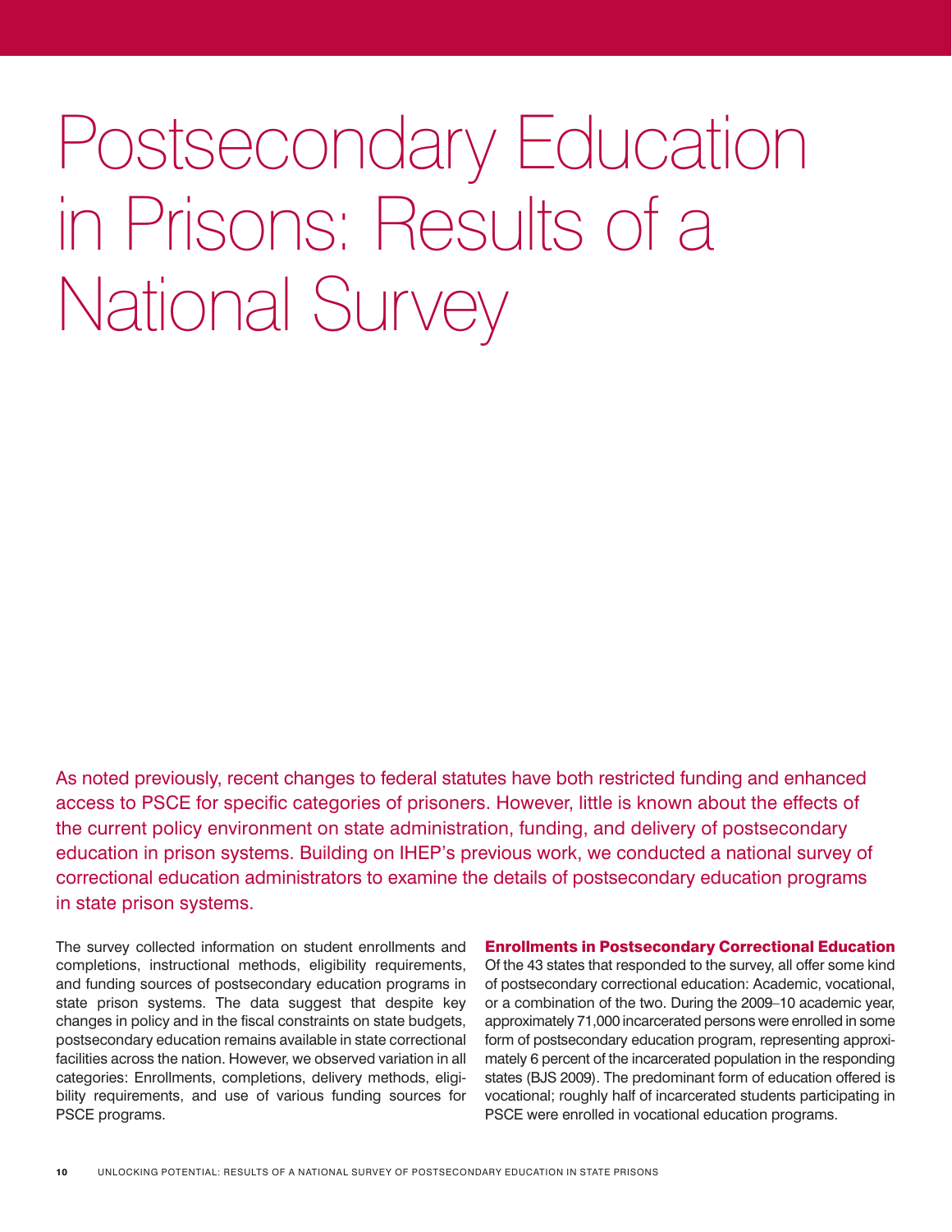Postsecondary Education in Prisons: Results of a National Survey

As noted previously, recent changes to federal statutes have both restricted funding and enhanced access to PSCE for specific categories of prisoners. However, little is known about the effects of the current policy environment on state administration, funding, and delivery of postsecondary education in prison systems. Building on IHEP's previous work, we conducted a national survey of correctional education administrators to examine the details of postsecondary education programs in state prison systems.

The survey collected information on student enrollments and completions, instructional methods, eligibility requirements, and funding sources of postsecondary education programs in state prison systems. The data suggest that despite key changes in policy and in the fiscal constraints on state budgets, postsecondary education remains available in state correctional facilities across the nation. However, we observed variation in all categories: Enrollments, completions, delivery methods, eligibility requirements, and use of various funding sources for PSCE programs.

Enrollments in Postsecondary Correctional Education

Of the 43 states that responded to the survey, all offer some kind of postsecondary correctional education: Academic, vocational, or a combination of the two. During the 2009–10 academic year, approximately 71,000 incarcerated persons were enrolled in some form of postsecondary education program, representing approximately 6 percent of the incarcerated population in the responding states (BJS 2009). The predominant form of education offered is vocational; roughly half of incarcerated students participating in PSCE were enrolled in vocational education programs.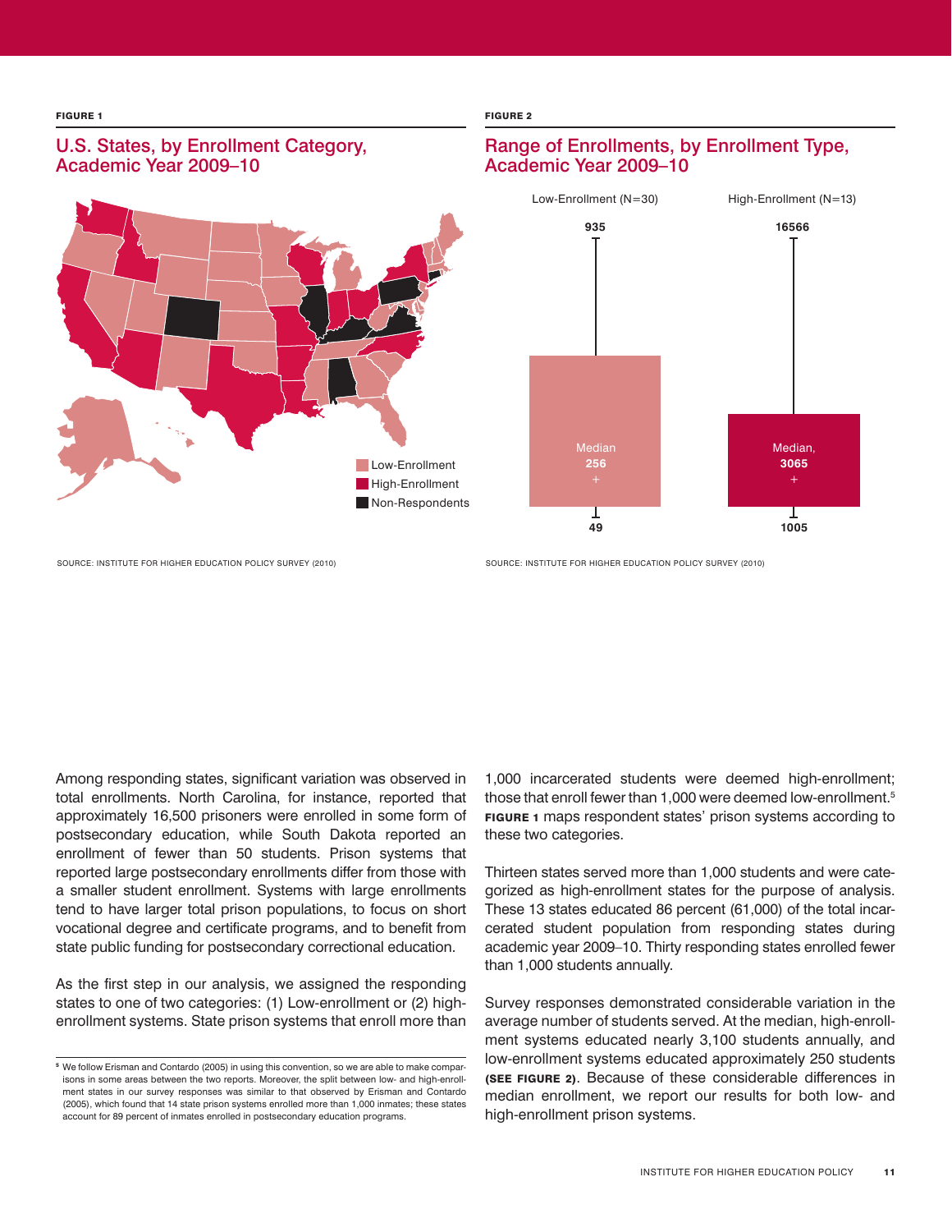# U.S. States, by Enrollment Category, Academic Year 2009–10



**figure 1** figure 2 figure 2 figure 2 figure 2 figure 2 figure 2 figure 2 figure 2 figure 2 figure 2 figure 2 figure 2

## Range of Enrollments, by Enrollment Type, Academic Year 2009–10



Source: Institute for Higher Education Policy Survey (2010) Source: Institute for Higher Education Policy Survey (2010)

Among responding states, significant variation was observed in total enrollments. North Carolina, for instance, reported that approximately 16,500 prisoners were enrolled in some form of postsecondary education, while South Dakota reported an enrollment of fewer than 50 students. Prison systems that reported large postsecondary enrollments differ from those with a smaller student enrollment. Systems with large enrollments tend to have larger total prison populations, to focus on short vocational degree and certificate programs, and to benefit from state public funding for postsecondary correctional education.

As the first step in our analysis, we assigned the responding states to one of two categories: (1) Low-enrollment or (2) highenrollment systems. State prison systems that enroll more than

1,000 incarcerated students were deemed high-enrollment; those that enroll fewer than 1,000 were deemed low-enrollment.5 **FIGURE 1** maps respondent states' prison systems according to these two categories.

Thirteen states served more than 1,000 students and were categorized as high-enrollment states for the purpose of analysis. These 13 states educated 86 percent (61,000) of the total incarcerated student population from responding states during academic year 2009–10. Thirty responding states enrolled fewer than 1,000 students annually.

Survey responses demonstrated considerable variation in the average number of students served. At the median, high-enrollment systems educated nearly 3,100 students annually, and low-enrollment systems educated approximately 250 students (see figure 2). Because of these considerable differences in median enrollment, we report our results for both low- and high-enrollment prison systems.

<sup>&</sup>lt;sup>5</sup> We follow Erisman and Contardo (2005) in using this convention, so we are able to make comparisons in some areas between the two reports. Moreover, the split between low- and high-enrollment states in our survey responses was similar to that observed by Erisman and Contardo (2005), which found that 14 state prison systems enrolled more than 1,000 inmates; these states account for 89 percent of inmates enrolled in postsecondary education programs.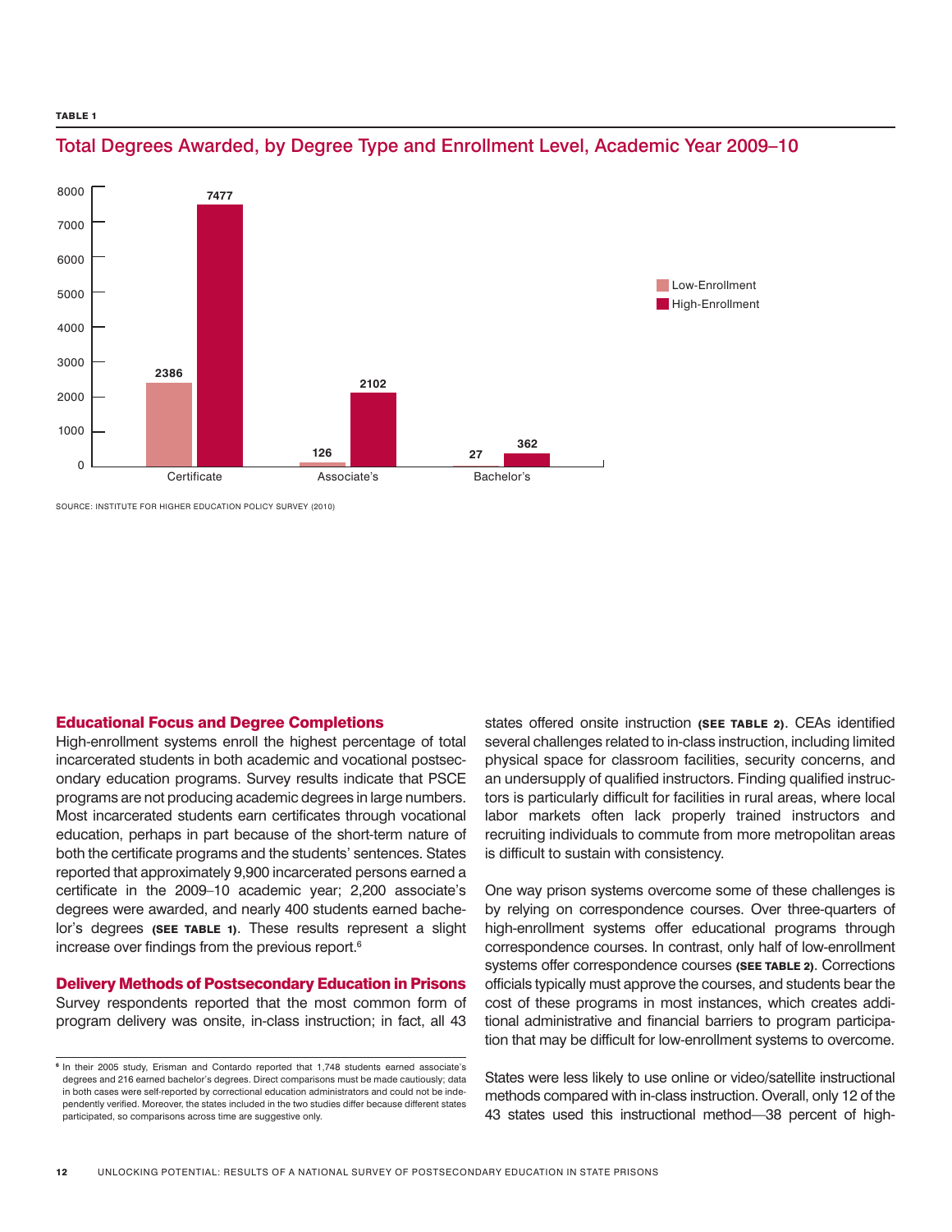#### TABLE<sub>1</sub>



# Total Degrees Awarded, by Degree Type and Enrollment Level, Academic Year 2009–10

SOURCE: INSTITUTE FOR HIGHER EDUCATION POLICY SURVEY (2010)

#### Educational Focus and Degree Completions

High-enrollment systems enroll the highest percentage of total incarcerated students in both academic and vocational postsecondary education programs. Survey results indicate that PSCE programs are not producing academic degrees in large numbers. Most incarcerated students earn certificates through vocational education, perhaps in part because of the short-term nature of both the certificate programs and the students' sentences. States reported that approximately 9,900 incarcerated persons earned a certificate in the 2009–10 academic year; 2,200 associate's degrees were awarded, and nearly 400 students earned bachelor's degrees (SEE TABLE 1). These results represent a slight increase over findings from the previous report.6

#### Delivery Methods of Postsecondary Education in Prisons

Survey respondents reported that the most common form of program delivery was onsite, in-class instruction; in fact, all 43

states offered onsite instruction (SEE TABLE 2). CEAs identified several challenges related to in-class instruction, including limited physical space for classroom facilities, security concerns, and an undersupply of qualified instructors. Finding qualified instructors is particularly difficult for facilities in rural areas, where local labor markets often lack properly trained instructors and recruiting individuals to commute from more metropolitan areas is difficult to sustain with consistency.

One way prison systems overcome some of these challenges is by relying on correspondence courses. Over three-quarters of high-enrollment systems offer educational programs through correspondence courses. In contrast, only half of low-enrollment systems offer correspondence courses (SEE TABLE 2). Corrections officials typically must approve the courses, and students bear the cost of these programs in most instances, which creates additional administrative and financial barriers to program participation that may be difficult for low-enrollment systems to overcome.

States were less likely to use online or video/satellite instructional methods compared with in-class instruction. Overall, only 12 of the 43 states used this instructional method—38 percent of high-

<sup>6</sup> In their 2005 study, Erisman and Contardo reported that 1,748 students earned associate's degrees and 216 earned bachelor's degrees. Direct comparisons must be made cautiously; data in both cases were self-reported by correctional education administrators and could not be independently verified. Moreover, the states included in the two studies differ because different states participated, so comparisons across time are suggestive only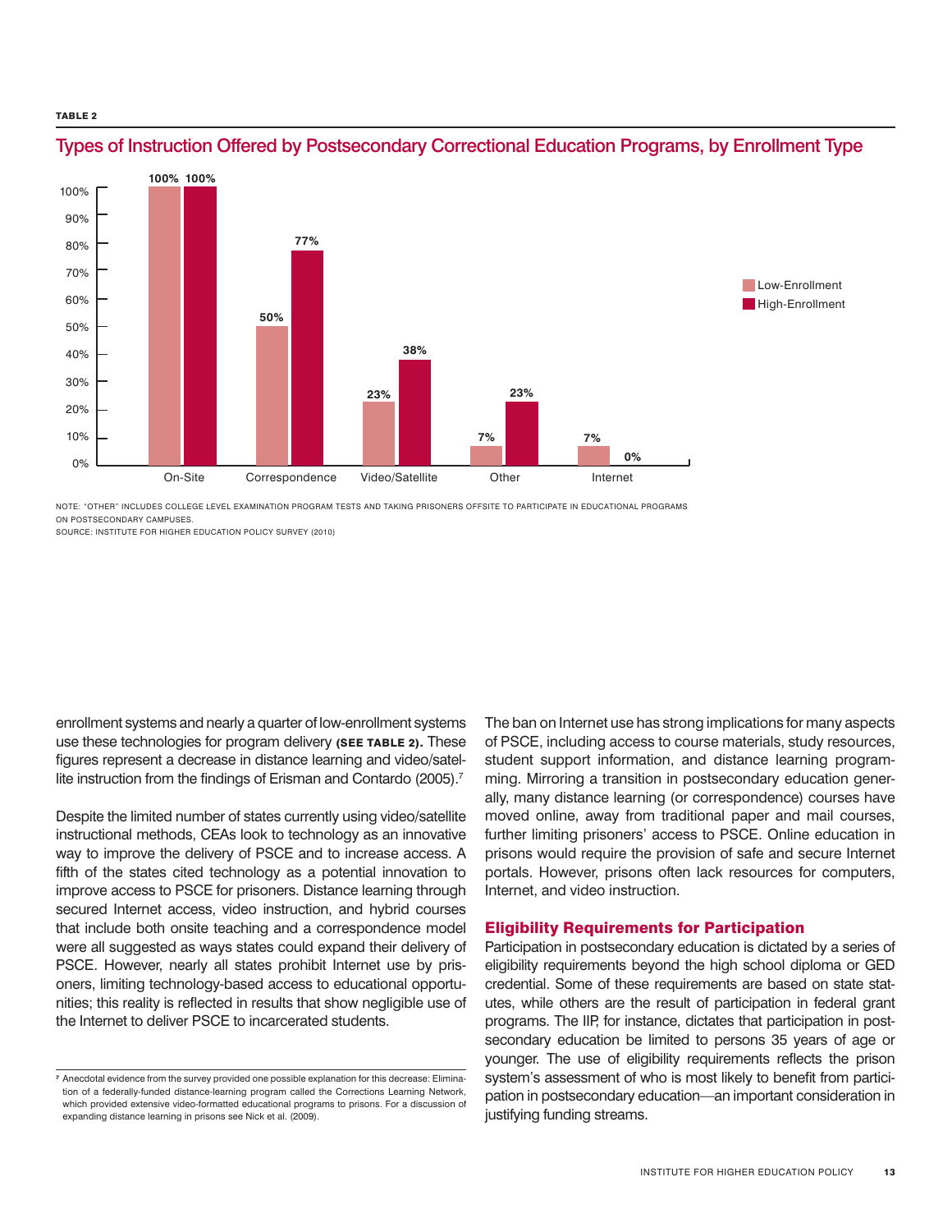#### TABLE<sub>2</sub>



### Types of Instruction Offered by Postsecondary Correctional Education Programs, by Enrollment Type

note: "Other" includes College Level Examination Program tests and taking prisoners offsite to participate in educational programs on postsecondary campuses.

Source: Institute for Higher Education Policy Survey (2010)

enrollment systems and nearly a quarter of low-enrollment systems use these technologies for program delivery (SEE TABLE 2). These figures represent a decrease in distance learning and video/satellite instruction from the findings of Erisman and Contardo (2005).<sup>7</sup>

Despite the limited number of states currently using video/satellite instructional methods, CEAs look to technology as an innovative way to improve the delivery of PSCE and to increase access. A fifth of the states cited technology as a potential innovation to improve access to PSCE for prisoners. Distance learning through secured Internet access, video instruction, and hybrid courses that include both onsite teaching and a correspondence model were all suggested as ways states could expand their delivery of PSCE. However, nearly all states prohibit Internet use by prisoners, limiting technology-based access to educational opportunities; this reality is reflected in results that show negligible use of the Internet to deliver PSCE to incarcerated students.

The ban on Internet use has strong implications for many aspects of PSCE, including access to course materials, study resources, student support information, and distance learning programming. Mirroring a transition in postsecondary education generally, many distance learning (or correspondence) courses have moved online, away from traditional paper and mail courses, further limiting prisoners' access to PSCE. Online education in prisons would require the provision of safe and secure Internet portals. However, prisons often lack resources for computers, Internet, and video instruction.

#### Eligibility Requirements for Participation

Participation in postsecondary education is dictated by a series of eligibility requirements beyond the high school diploma or GED credential. Some of these requirements are based on state statutes, while others are the result of participation in federal grant programs. The IIP, for instance, dictates that participation in postsecondary education be limited to persons 35 years of age or younger. The use of eligibility requirements reflects the prison system's assessment of who is most likely to benefit from participation in postsecondary education—an important consideration in justifying funding streams.

<sup>&</sup>lt;sup>7</sup> Anecdotal evidence from the survey provided one possible explanation for this decrease: Elimination of a federally-funded distance-learning program called the Corrections Learning Network, which provided extensive video-formatted educational programs to prisons. For a discussion of expanding distance learning in prisons see Nick et al. (2009).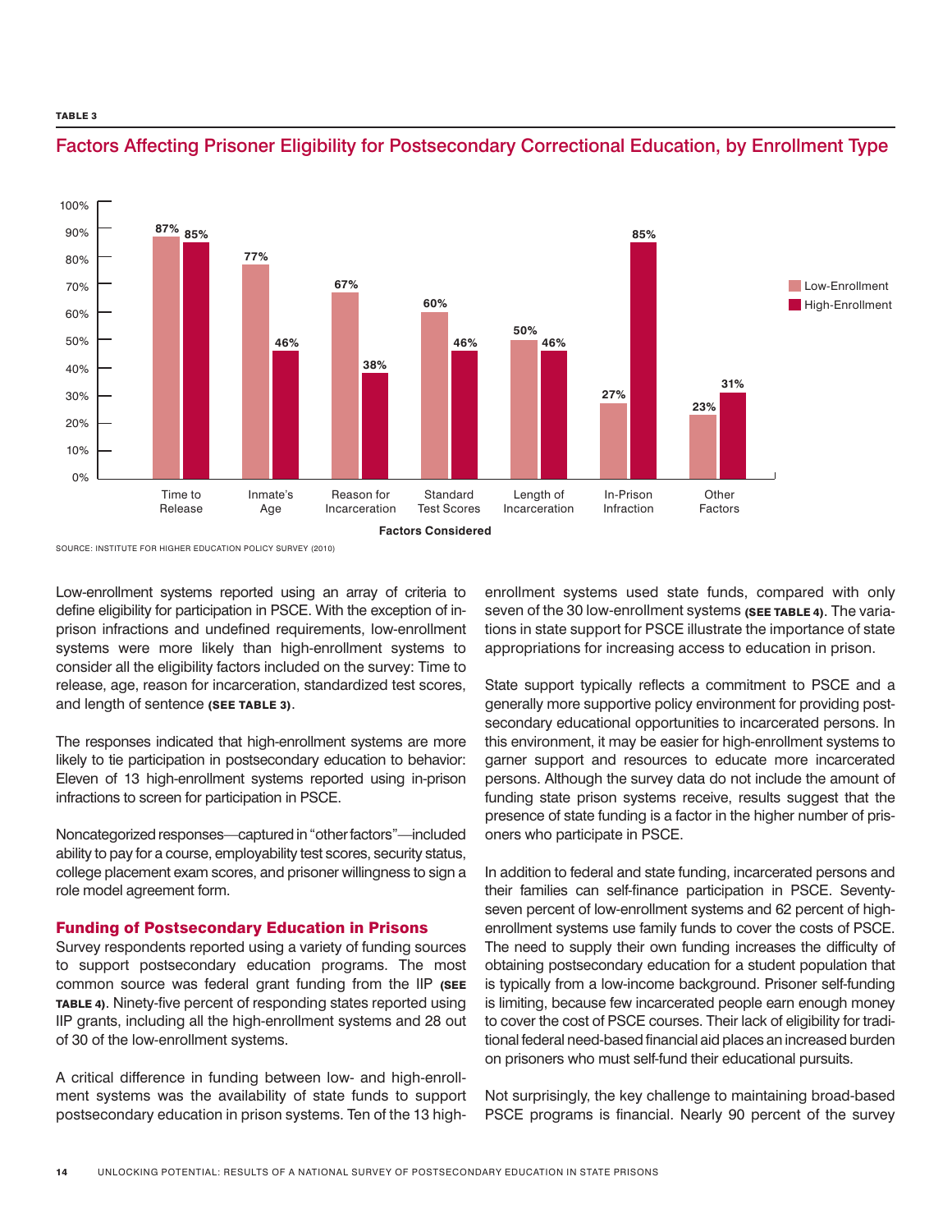TABLE<sub>3</sub>



### Factors Affecting Prisoner Eligibility for Postsecondary Correctional Education, by Enrollment Type

Source: Institute for Higher Education Policy Survey (2010)

Low-enrollment systems reported using an array of criteria to define eligibility for participation in PSCE. With the exception of inprison infractions and undefined requirements, low-enrollment systems were more likely than high-enrollment systems to consider all the eligibility factors included on the survey: Time to release, age, reason for incarceration, standardized test scores, and length of sentence (SEE TABLE 3).

The responses indicated that high-enrollment systems are more likely to tie participation in postsecondary education to behavior: Eleven of 13 high-enrollment systems reported using in-prison infractions to screen for participation in PSCE.

Noncategorized responses—captured in "other factors"—included ability to pay for a course, employability test scores, security status, college placement exam scores, and prisoner willingness to sign a role model agreement form.

#### Funding of Postsecondary Education in Prisons

Survey respondents reported using a variety of funding sources to support postsecondary education programs. The most common source was federal grant funding from the IIP (SEE table 4). Ninety-five percent of responding states reported using IIP grants, including all the high-enrollment systems and 28 out of 30 of the low-enrollment systems.

A critical difference in funding between low- and high-enrollment systems was the availability of state funds to support postsecondary education in prison systems. Ten of the 13 highenrollment systems used state funds, compared with only seven of the 30 low-enrollment systems (SEE TABLE 4). The variations in state support for PSCE illustrate the importance of state appropriations for increasing access to education in prison.

State support typically reflects a commitment to PSCE and a generally more supportive policy environment for providing postsecondary educational opportunities to incarcerated persons. In this environment, it may be easier for high-enrollment systems to garner support and resources to educate more incarcerated persons. Although the survey data do not include the amount of funding state prison systems receive, results suggest that the presence of state funding is a factor in the higher number of prisoners who participate in PSCE.

In addition to federal and state funding, incarcerated persons and their families can self-finance participation in PSCE. Seventyseven percent of low-enrollment systems and 62 percent of highenrollment systems use family funds to cover the costs of PSCE. The need to supply their own funding increases the difficulty of obtaining postsecondary education for a student population that is typically from a low-income background. Prisoner self-funding is limiting, because few incarcerated people earn enough money to cover the cost of PSCE courses. Their lack of eligibility for traditional federal need-based financial aid places an increased burden on prisoners who must self-fund their educational pursuits.

Not surprisingly, the key challenge to maintaining broad-based PSCE programs is financial. Nearly 90 percent of the survey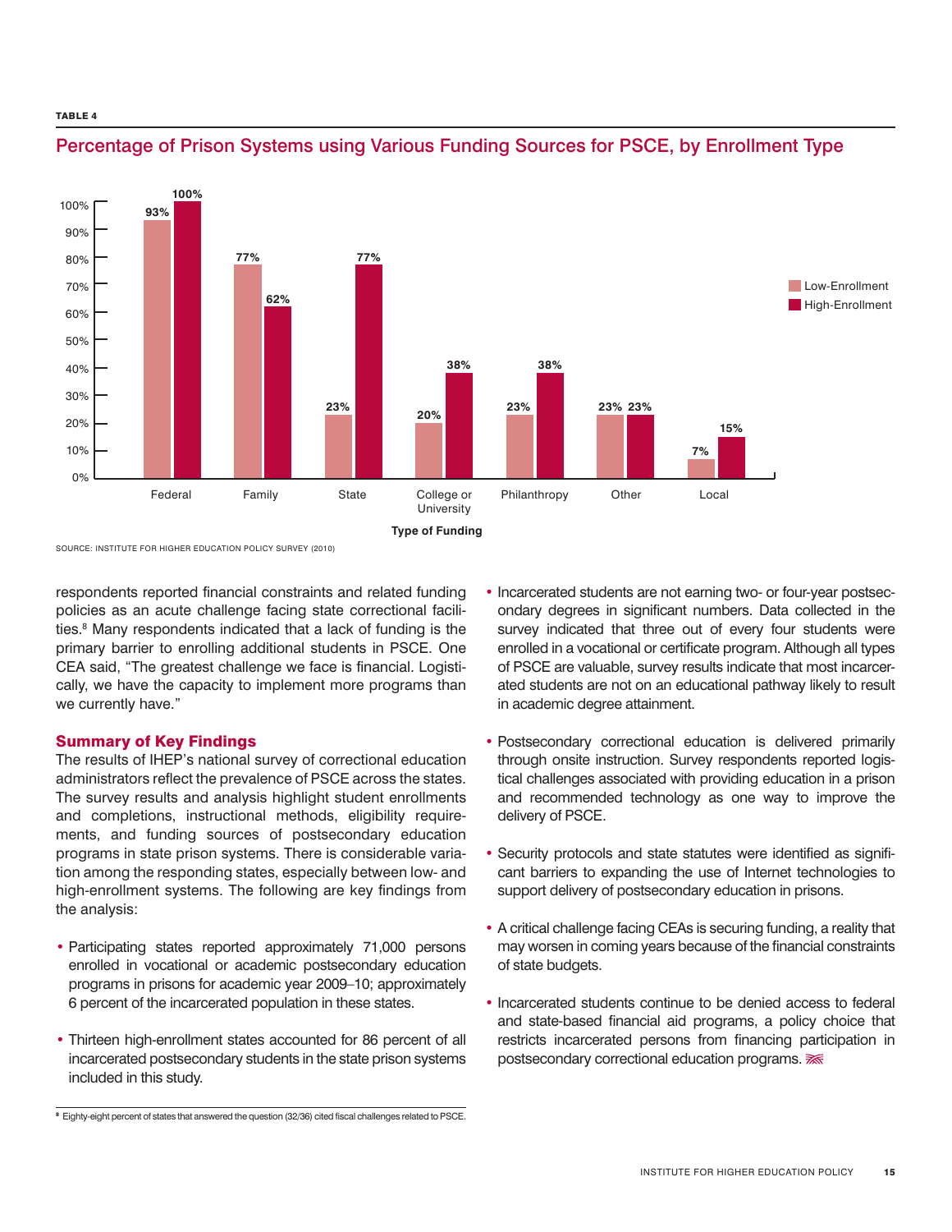

## Percentage of Prison Systems using Various Funding Sources for PSCE, by Enrollment Type

Source: Institute for Higher Education Policy Survey (2010)

respondents reported financial constraints and related funding policies as an acute challenge facing state correctional facilities.<sup>8</sup> Many respondents indicated that a lack of funding is the primary barrier to enrolling additional students in PSCE. One CEA said, "The greatest challenge we face is financial. Logistically, we have the capacity to implement more programs than we currently have."

#### Summary of Key Findings

The results of IHEP's national survey of correctional education administrators reflect the prevalence of PSCE across the states. The survey results and analysis highlight student enrollments and completions, instructional methods, eligibility requirements, and funding sources of postsecondary education programs in state prison systems. There is considerable variation among the responding states, especially between low- and high-enrollment systems. The following are key findings from the analysis:

- Participating states reported approximately 71,000 persons enrolled in vocational or academic postsecondary education programs in prisons for academic year 2009–10; approximately 6 percent of the incarcerated population in these states.
- Thirteen high-enrollment states accounted for 86 percent of all incarcerated postsecondary students in the state prison systems included in this study.
- Postsecondary correctional education is delivered primarily through onsite instruction. Survey respondents reported logistical challenges associated with providing education in a prison and recommended technology as one way to improve the delivery of PSCE.
- Security protocols and state statutes were identified as significant barriers to expanding the use of Internet technologies to support delivery of postsecondary education in prisons.
- A critical challenge facing CEAs is securing funding, a reality that may worsen in coming years because of the financial constraints of state budgets.
- Incarcerated students continue to be denied access to federal and state-based financial aid programs, a policy choice that restricts incarcerated persons from financing participation in postsecondary correctional education programs.  $\overline{\mathcal{K}}$

<sup>•</sup> Incarcerated students are not earning two- or four-year postsecondary degrees in significant numbers. Data collected in the survey indicated that three out of every four students were enrolled in a vocational or certificate program. Although all types of PSCE are valuable, survey results indicate that most incarcerated students are not on an educational pathway likely to result in academic degree attainment.

<sup>&</sup>lt;sup>8</sup> Eighty-eight percent of states that answered the question (32/36) cited fiscal challenges related to PSCE.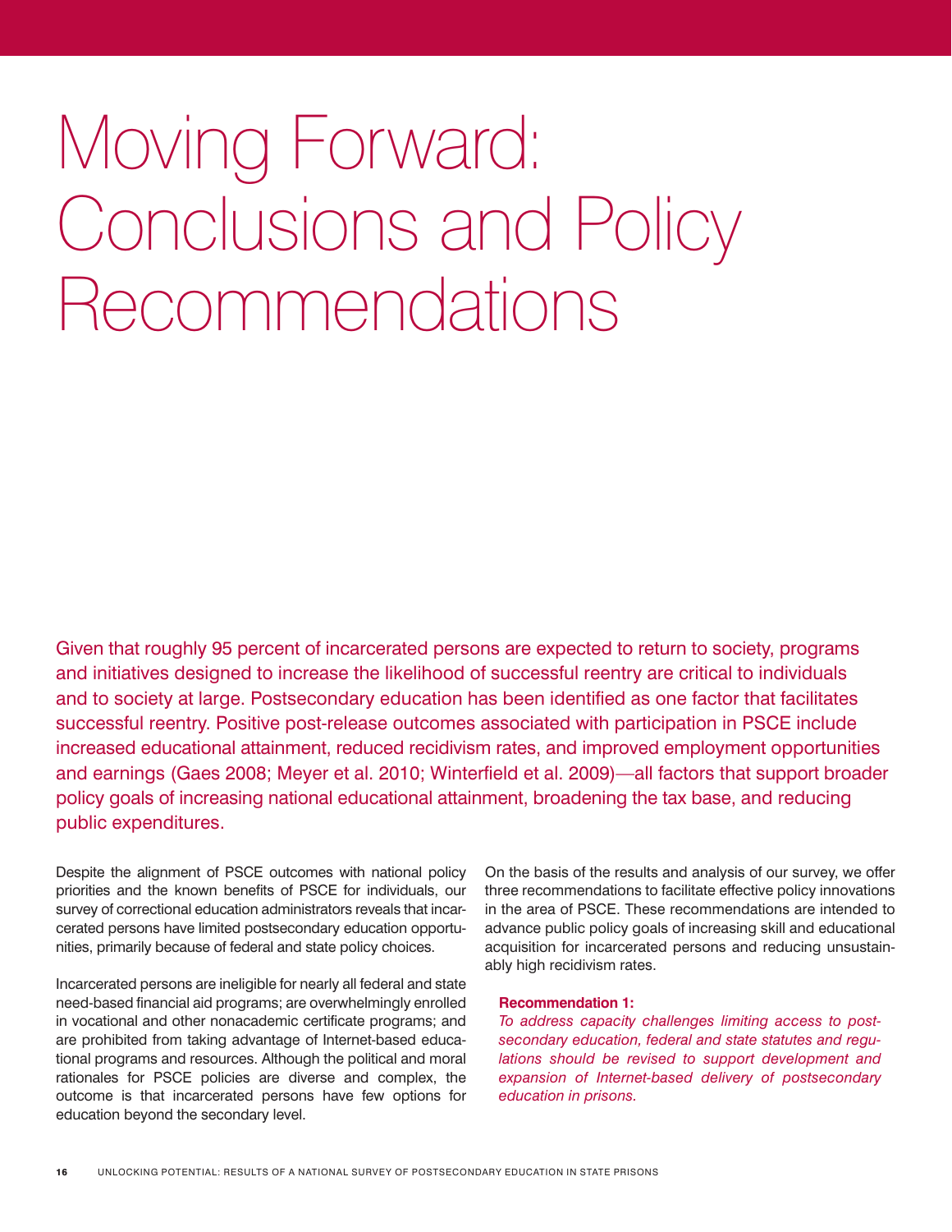# Moving Forward: Conclusions and Policy Recommendations

Given that roughly 95 percent of incarcerated persons are expected to return to society, programs and initiatives designed to increase the likelihood of successful reentry are critical to individuals and to society at large. Postsecondary education has been identified as one factor that facilitates successful reentry. Positive post-release outcomes associated with participation in PSCE include increased educational attainment, reduced recidivism rates, and improved employment opportunities and earnings (Gaes 2008; Meyer et al. 2010; Winterfield et al. 2009)—all factors that support broader policy goals of increasing national educational attainment, broadening the tax base, and reducing public expenditures.

Despite the alignment of PSCE outcomes with national policy priorities and the known benefits of PSCE for individuals, our survey of correctional education administrators reveals that incarcerated persons have limited postsecondary education opportunities, primarily because of federal and state policy choices.

Incarcerated persons are ineligible for nearly all federal and state need-based financial aid programs; are overwhelmingly enrolled in vocational and other nonacademic certificate programs; and are prohibited from taking advantage of Internet-based educational programs and resources. Although the political and moral rationales for PSCE policies are diverse and complex, the outcome is that incarcerated persons have few options for education beyond the secondary level.

On the basis of the results and analysis of our survey, we offer three recommendations to facilitate effective policy innovations in the area of PSCE. These recommendations are intended to advance public policy goals of increasing skill and educational acquisition for incarcerated persons and reducing unsustainably high recidivism rates.

#### **Recommendation 1:**

*To address capacity challenges limiting access to postsecondary education, federal and state statutes and regulations should be revised to support development and expansion of Internet-based delivery of postsecondary education in prisons.*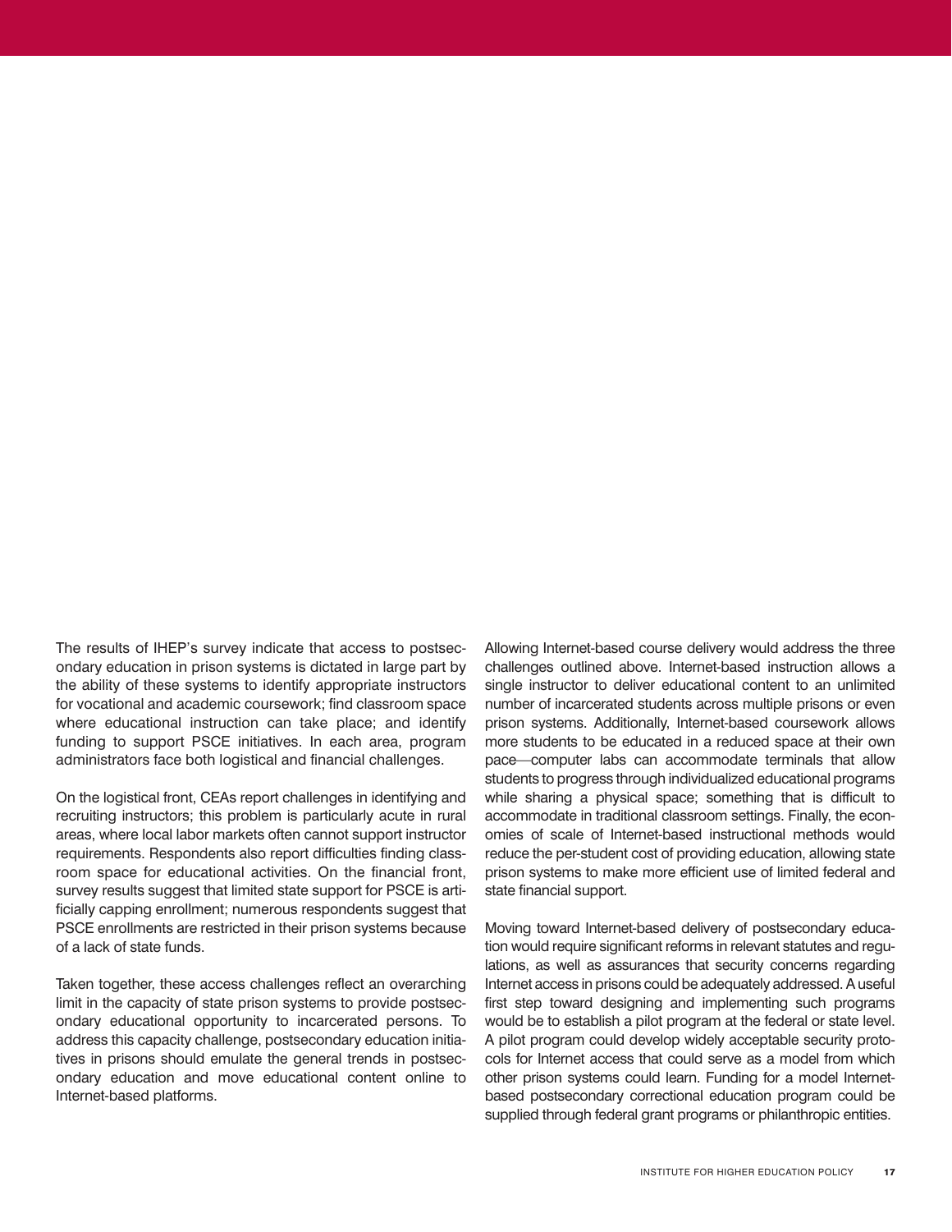The results of IHEP's survey indicate that access to postsecondary education in prison systems is dictated in large part by the ability of these systems to identify appropriate instructors for vocational and academic coursework; find classroom space where educational instruction can take place; and identify funding to support PSCE initiatives. In each area, program administrators face both logistical and financial challenges.

On the logistical front, CEAs report challenges in identifying and recruiting instructors; this problem is particularly acute in rural areas, where local labor markets often cannot support instructor requirements. Respondents also report difficulties finding classroom space for educational activities. On the financial front, survey results suggest that limited state support for PSCE is artificially capping enrollment; numerous respondents suggest that PSCE enrollments are restricted in their prison systems because of a lack of state funds.

Taken together, these access challenges reflect an overarching limit in the capacity of state prison systems to provide postsecondary educational opportunity to incarcerated persons. To address this capacity challenge, postsecondary education initiatives in prisons should emulate the general trends in postsecondary education and move educational content online to Internet-based platforms.

Allowing Internet-based course delivery would address the three challenges outlined above. Internet-based instruction allows a single instructor to deliver educational content to an unlimited number of incarcerated students across multiple prisons or even prison systems. Additionally, Internet-based coursework allows more students to be educated in a reduced space at their own pace—computer labs can accommodate terminals that allow students to progress through individualized educational programs while sharing a physical space; something that is difficult to accommodate in traditional classroom settings. Finally, the economies of scale of Internet-based instructional methods would reduce the per-student cost of providing education, allowing state prison systems to make more efficient use of limited federal and state financial support.

Moving toward Internet-based delivery of postsecondary education would require significant reforms in relevant statutes and regulations, as well as assurances that security concerns regarding Internet access in prisons could be adequately addressed. A useful first step toward designing and implementing such programs would be to establish a pilot program at the federal or state level. A pilot program could develop widely acceptable security protocols for Internet access that could serve as a model from which other prison systems could learn. Funding for a model Internetbased postsecondary correctional education program could be supplied through federal grant programs or philanthropic entities.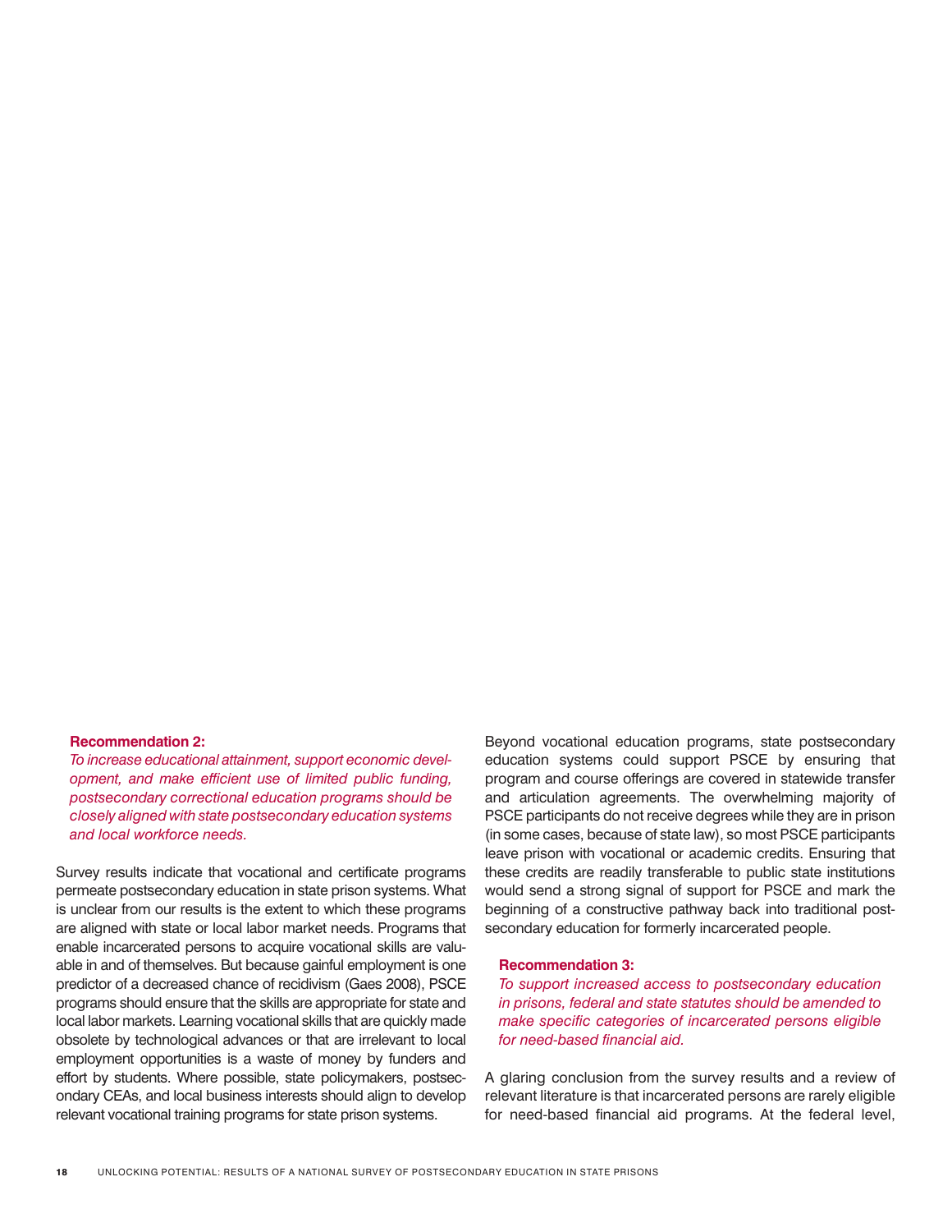#### **Recommendation 2:**

*To increase educational attainment, support economic development, and make efficient use of limited public funding, postsecondary correctional education programs should be closely aligned with state postsecondary education systems and local workforce needs.*

Survey results indicate that vocational and certificate programs permeate postsecondary education in state prison systems. What is unclear from our results is the extent to which these programs are aligned with state or local labor market needs. Programs that enable incarcerated persons to acquire vocational skills are valuable in and of themselves. But because gainful employment is one predictor of a decreased chance of recidivism (Gaes 2008), PSCE programs should ensure that the skills are appropriate for state and local labor markets. Learning vocational skills that are quickly made obsolete by technological advances or that are irrelevant to local employment opportunities is a waste of money by funders and effort by students. Where possible, state policymakers, postsecondary CEAs, and local business interests should align to develop relevant vocational training programs for state prison systems.

Beyond vocational education programs, state postsecondary education systems could support PSCE by ensuring that program and course offerings are covered in statewide transfer and articulation agreements. The overwhelming majority of PSCE participants do not receive degrees while they are in prison (in some cases, because of state law), so most PSCE participants leave prison with vocational or academic credits. Ensuring that these credits are readily transferable to public state institutions would send a strong signal of support for PSCE and mark the beginning of a constructive pathway back into traditional postsecondary education for formerly incarcerated people.

#### **Recommendation 3:**

*To support increased access to postsecondary education in prisons, federal and state statutes should be amended to make specific categories of incarcerated persons eligible for need-based financial aid.*

A glaring conclusion from the survey results and a review of relevant literature is that incarcerated persons are rarely eligible for need-based financial aid programs. At the federal level,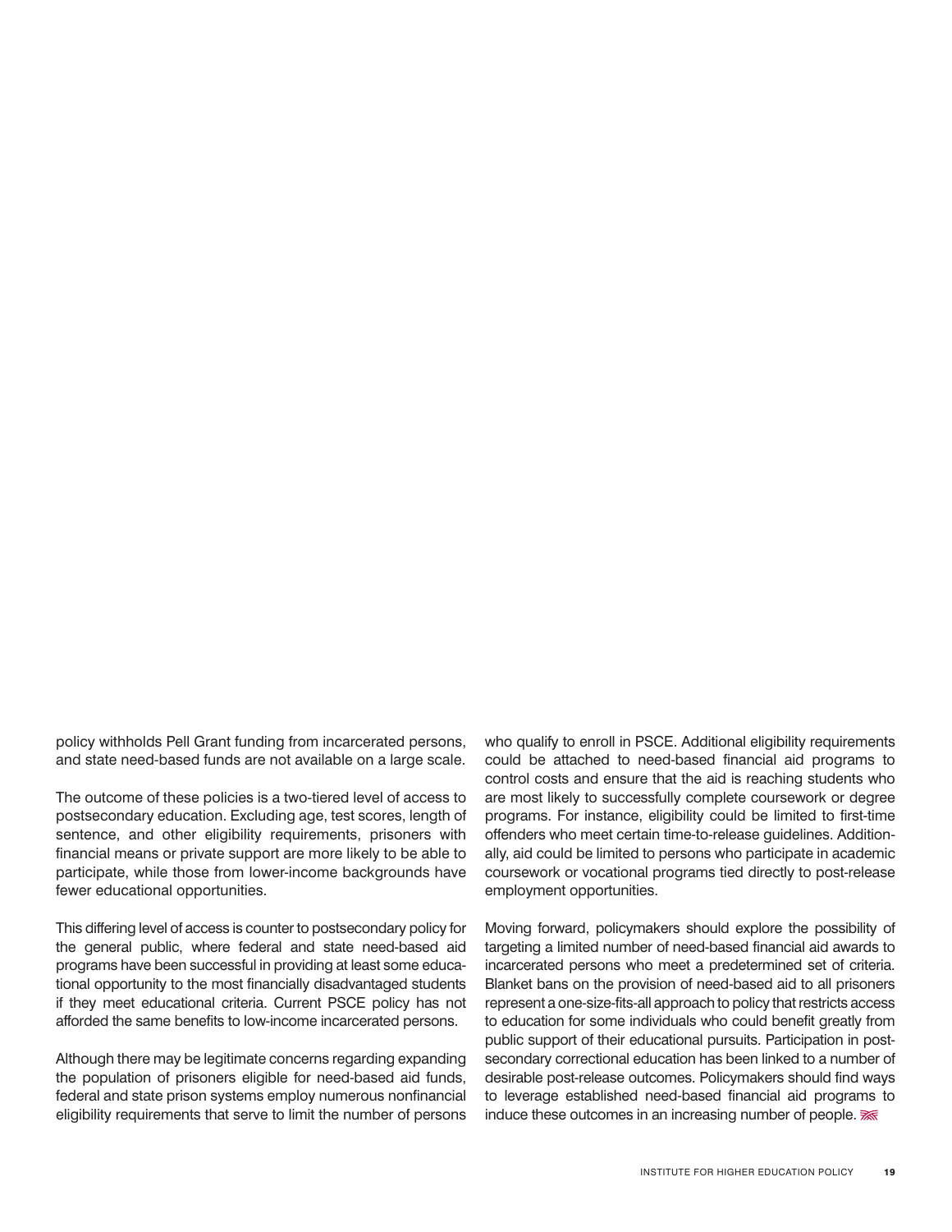policy withholds Pell Grant funding from incarcerated persons, and state need-based funds are not available on a large scale.

The outcome of these policies is a two-tiered level of access to postsecondary education. Excluding age, test scores, length of sentence, and other eligibility requirements, prisoners with financial means or private support are more likely to be able to participate, while those from lower-income backgrounds have fewer educational opportunities.

This differing level of access is counter to postsecondary policy for the general public, where federal and state need-based aid programs have been successful in providing at least some educational opportunity to the most financially disadvantaged students if they meet educational criteria. Current PSCE policy has not afforded the same benefits to low-income incarcerated persons.

Although there may be legitimate concerns regarding expanding the population of prisoners eligible for need-based aid funds, federal and state prison systems employ numerous nonfinancial eligibility requirements that serve to limit the number of persons who qualify to enroll in PSCE. Additional eligibility requirements could be attached to need-based financial aid programs to control costs and ensure that the aid is reaching students who are most likely to successfully complete coursework or degree programs. For instance, eligibility could be limited to first-time offenders who meet certain time-to-release guidelines. Additionally, aid could be limited to persons who participate in academic coursework or vocational programs tied directly to post-release employment opportunities.

Moving forward, policymakers should explore the possibility of targeting a limited number of need-based financial aid awards to incarcerated persons who meet a predetermined set of criteria. Blanket bans on the provision of need-based aid to all prisoners represent a one-size-fits-all approach to policy that restricts access to education for some individuals who could benefit greatly from public support of their educational pursuits. Participation in postsecondary correctional education has been linked to a number of desirable post-release outcomes. Policymakers should find ways to leverage established need-based financial aid programs to induce these outcomes in an increasing number of people.  $\mathbb{R}$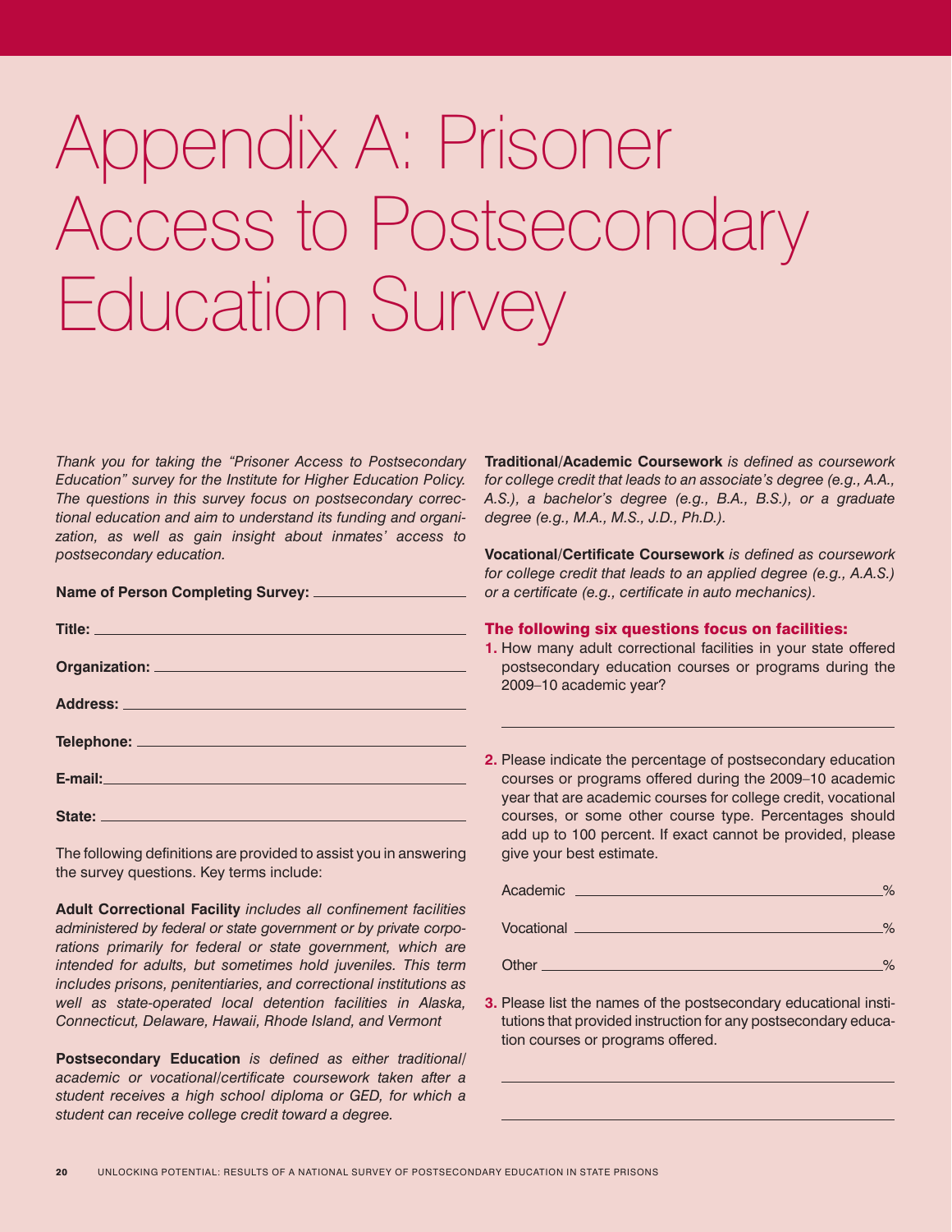# Appendix A: Prisoner Access to Postsecondary Education Survey

*Thank you for taking the "Prisoner Access to Postsecondary Education" survey for the Institute for Higher Education Policy. The questions in this survey focus on postsecondary correctional education and aim to understand its funding and organization, as well as gain insight about inmates' access to postsecondary education.* 

| <b>Name of Person Completing Survey:</b> |  |  |  |
|------------------------------------------|--|--|--|
|                                          |  |  |  |

| State: <u>Andrea State: Andrea State: Andrea State: Andrea State: Andrea State: Andrea State: Andrea State: Andrea State: Andrea State: Andrea State: Andrea State: Andrea State: Andrea State: Andrea State: Andrea State: Andr</u> |
|--------------------------------------------------------------------------------------------------------------------------------------------------------------------------------------------------------------------------------------|
|                                                                                                                                                                                                                                      |

The following definitions are provided to assist you in answering the survey questions. Key terms include:

**Adult Correctional Facility** *includes all confinement facilities administered by federal or state government or by private corpo*rations primarily for federal or state government, which are *intended for adults, but sometimes hold juveniles. This term includes prisons, penitentiaries, and correctional institutions as well as state-operated local detention facilities in Alaska, Connecticut, Delaware, Hawaii, Rhode Island, and Vermont*

**Postsecondary Education** *is defined as either traditional/ academic or vocational/certificate coursework taken after a student receives a high school diploma or GED, for which a student can receive college credit toward a degree.*

**Traditional/Academic Coursework** *is defined as coursework for college credit that leads to an associate's degree (e.g., A.A., A.S.), a bachelor's degree (e.g., B.A., B.S.), or a graduate degree (e.g., M.A., M.S., J.D., Ph.D.).*

**Vocational/Certificate Coursework** *is defined as coursework for college credit that leads to an applied degree (e.g., A.A.S.) or a certificate (e.g., certificate in auto mechanics).*

#### The following six questions focus on facilities:

- **1.** How many adult correctional facilities in your state offered postsecondary education courses or programs during the 2009–10 academic year?
- **2.** Please indicate the percentage of postsecondary education courses or programs offered during the 2009–10 academic year that are academic courses for college credit, vocational courses, or some other course type. Percentages should add up to 100 percent. If exact cannot be provided, please give your best estimate.

| Academic   | $\frac{1}{2}$ |
|------------|---------------|
| Vocational | $O_{\alpha}$  |
| Other      | O/            |

**3.** Please list the names of the postsecondary educational institutions that provided instruction for any postsecondary education courses or programs offered.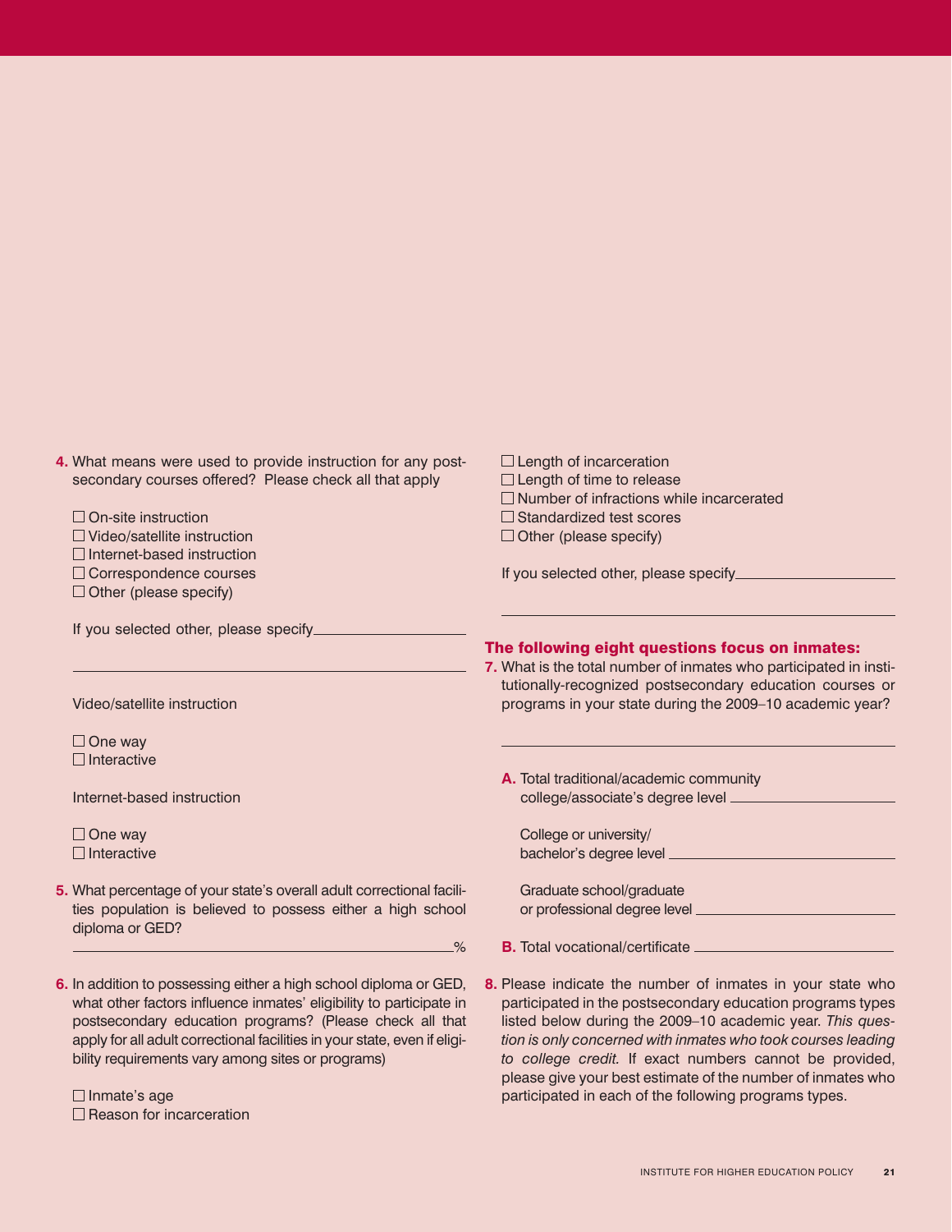| 4. What means were used to provide instruction for any post-          | $\Box$ Length of incarceration                                                                                                                                                                                                            |
|-----------------------------------------------------------------------|-------------------------------------------------------------------------------------------------------------------------------------------------------------------------------------------------------------------------------------------|
| secondary courses offered? Please check all that apply                | $\Box$ Length of time to release                                                                                                                                                                                                          |
|                                                                       | $\Box$ Number of infractions while incarcerated                                                                                                                                                                                           |
| □ On-site instruction                                                 | $\Box$ Standardized test scores                                                                                                                                                                                                           |
| $\Box$ Video/satellite instruction                                    | $\Box$ Other (please specify)                                                                                                                                                                                                             |
| $\Box$ Internet-based instruction                                     |                                                                                                                                                                                                                                           |
| □ Correspondence courses                                              |                                                                                                                                                                                                                                           |
| $\Box$ Other (please specify)                                         |                                                                                                                                                                                                                                           |
|                                                                       |                                                                                                                                                                                                                                           |
| If you selected other, please specify                                 |                                                                                                                                                                                                                                           |
|                                                                       | The following eight questions focus on inmates:<br>7. What is the total number of inmates who participated in insti-                                                                                                                      |
|                                                                       | tutionally-recognized postsecondary education courses or                                                                                                                                                                                  |
| Video/satellite instruction                                           | programs in your state during the 2009-10 academic year?                                                                                                                                                                                  |
|                                                                       |                                                                                                                                                                                                                                           |
| $\Box$ One way                                                        |                                                                                                                                                                                                                                           |
| $\Box$ Interactive                                                    |                                                                                                                                                                                                                                           |
|                                                                       | A. Total traditional/academic community                                                                                                                                                                                                   |
| Internet-based instruction                                            |                                                                                                                                                                                                                                           |
|                                                                       |                                                                                                                                                                                                                                           |
| $\Box$ One way<br>$\Box$ Interactive                                  | College or university/                                                                                                                                                                                                                    |
|                                                                       |                                                                                                                                                                                                                                           |
| 5. What percentage of your state's overall adult correctional facili- | Graduate school/graduate                                                                                                                                                                                                                  |
| ties population is believed to possess either a high school           |                                                                                                                                                                                                                                           |
| diploma or GED?                                                       |                                                                                                                                                                                                                                           |
| $-\frac{9}{6}$                                                        | <b>B.</b> Total vocational/certificate <b>contract of the contract of the contract of the contract of the contract of the contract of the contract of the contract of the contract of the contract of the contract of the contract of</b> |
|                                                                       |                                                                                                                                                                                                                                           |
| 6. In addition to possessing either a high school diploma or GED,     | 8. Please indicate the number of inmates in your state who                                                                                                                                                                                |
| what other factors influence inmates' eligibility to participate in   | participated in the postsecondary education programs types                                                                                                                                                                                |
| postsecondary education programs? (Please check all that              | listed below during the 2009-10 academic year. This ques-                                                                                                                                                                                 |

postsecondary education programs? (Please check all that apply for all adult correctional facilities in your state, even if eligibility requirements vary among sites or programs)

 $\Box$  Inmate's age  $\Box$  Reason for incarceration *tion is only concerned with inmates who took courses leading to college credit.* If exact numbers cannot be provided, please give your best estimate of the number of inmates who

participated in each of the following programs types.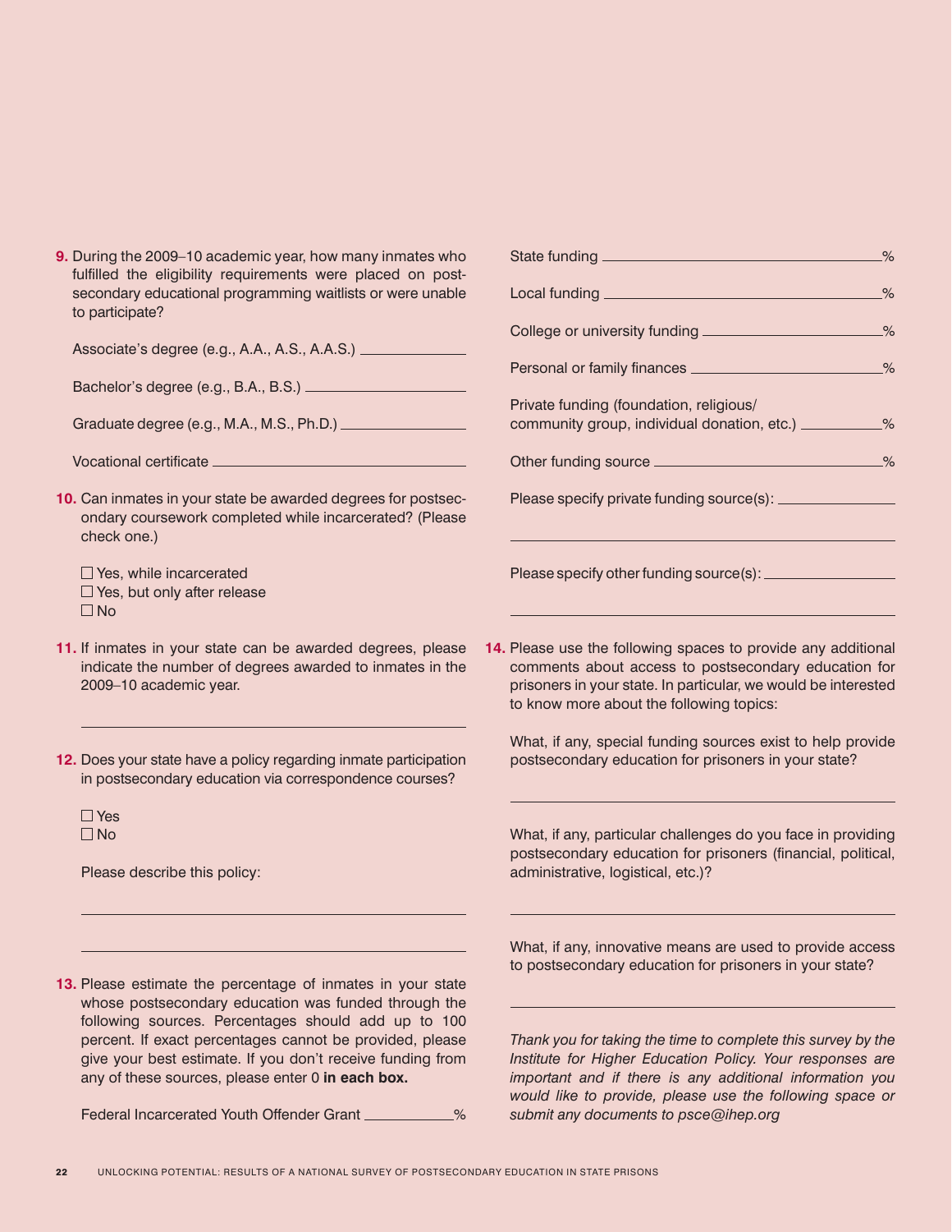| 9. During the 2009-10 academic year, how many inmates who   |
|-------------------------------------------------------------|
| fulfilled the eligibility requirements were placed on post- |
| secondary educational programming waitlists or were unable  |
| to participate?                                             |

Associate's degree (e.g., A.A., A.S., A.A.S.)

Bachelor's degree (e.g., B.A., B.S.)

Graduate degree (e.g., M.A., M.S., Ph.D.)

Vocational certificate

**10.** Can inmates in your state be awarded degrees for postsecondary coursework completed while incarcerated? (Please check one.)

 $\Box$  Yes, while incarcerated  $\Box$  Yes, but only after release  $\square$  No

- **11.** If inmates in your state can be awarded degrees, please indicate the number of degrees awarded to inmates in the 2009–10 academic year.
- **12.** Does your state have a policy regarding inmate participation in postsecondary education via correspondence courses?

 $\square$  Yes  $\Box$ No

Please describe this policy:

**13.** Please estimate the percentage of inmates in your state whose postsecondary education was funded through the following sources. Percentages should add up to 100 percent. If exact percentages cannot be provided, please give your best estimate. If you don't receive funding from any of these sources, please enter 0 **in each box.** 

Federal Incarcerated Youth Offender Grant \_\_\_\_\_\_\_\_\_\_%

| College or university funding ______________________%                                                                                                                                                                                |                |
|--------------------------------------------------------------------------------------------------------------------------------------------------------------------------------------------------------------------------------------|----------------|
| Personal or family finances _________________________%                                                                                                                                                                               |                |
| Private funding (foundation, religious/<br>community group, individual donation, etc.) __________%                                                                                                                                   |                |
| Other funding source <b>contained a manufacturer of the contact of the contact of the contact of the contact of the contact of the contact of the contact of the contact of the contact of the contact of the contact of the con</b> | $-\frac{9}{6}$ |
|                                                                                                                                                                                                                                      |                |
|                                                                                                                                                                                                                                      |                |

**14.** Please use the following spaces to provide any additional comments about access to postsecondary education for prisoners in your state. In particular, we would be interested to know more about the following topics:

What, if any, special funding sources exist to help provide postsecondary education for prisoners in your state?

What, if any, particular challenges do you face in providing postsecondary education for prisoners (financial, political, administrative, logistical, etc.)?

What, if any, innovative means are used to provide access to postsecondary education for prisoners in your state?

*Thank you for taking the time to complete this survey by the Institute for Higher Education Policy. Your responses are important and if there is any additional information you would like to provide, please use the following space or submit any documents to psce@ihep.org*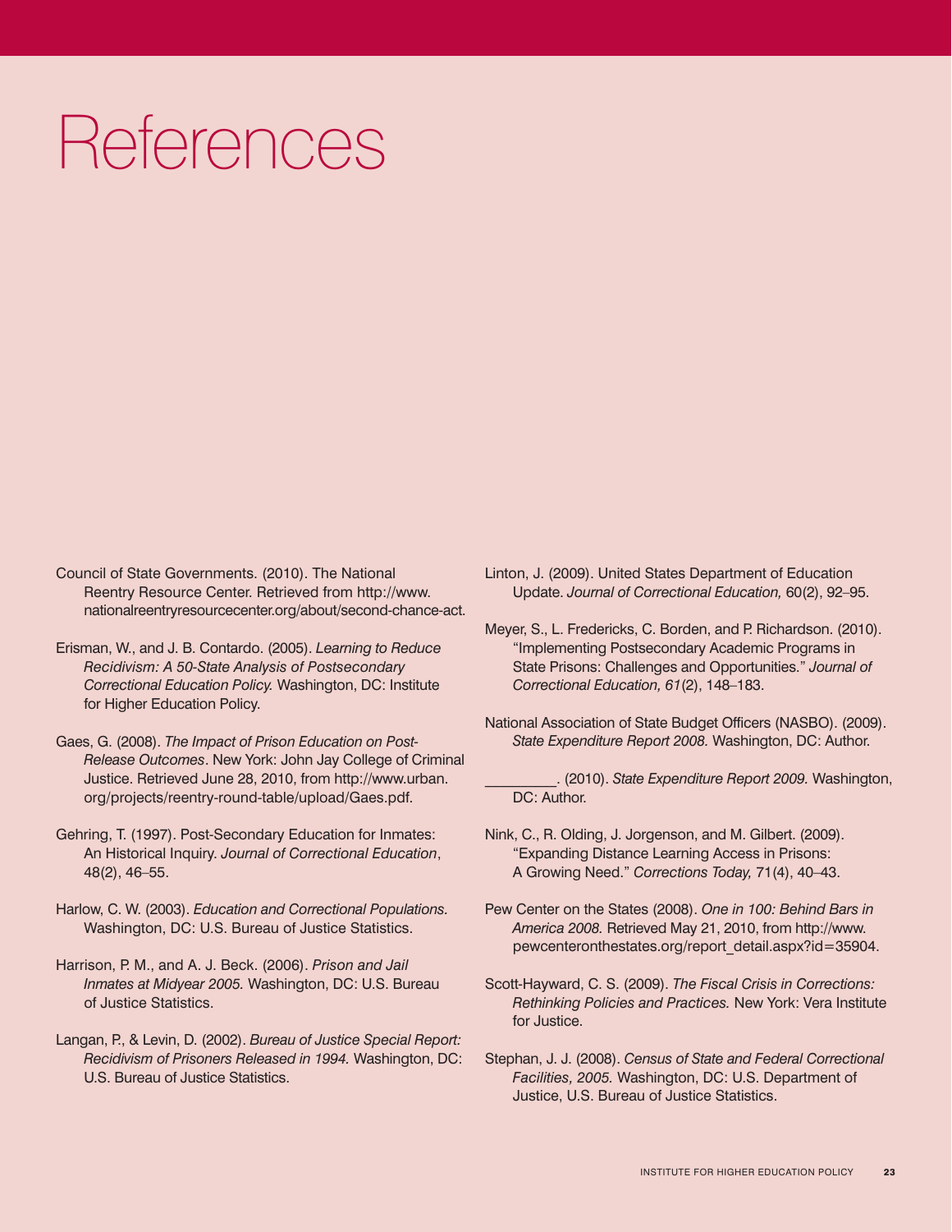# References

- Council of State Governments. (2010). The National Reentry Resource Center. Retrieved from http://www. nationalreentryresourcecenter.org/about/second-chance-act.
- Erisman, W., and J. B. Contardo. (2005). *Learning to Reduce Recidivism: A 50-State Analysis of Postsecondary Correctional Education Policy.* Washington, DC: Institute for Higher Education Policy.
- Gaes, G. (2008). *The Impact of Prison Education on Post-Release Outcomes*. New York: John Jay College of Criminal Justice. Retrieved June 28, 2010, from http://www.urban. org/projects/reentry-round-table/upload/Gaes.pdf.
- Gehring, T. (1997). Post-Secondary Education for Inmates: An Historical Inquiry. *Journal of Correctional Education*, 48(2), 46–55.
- Harlow, C. W. (2003). *Education and Correctional Populations.*  Washington, DC: U.S. Bureau of Justice Statistics.
- Harrison, P. M., and A. J. Beck. (2006). *Prison and Jail Inmates at Midyear 2005.* Washington, DC: U.S. Bureau of Justice Statistics.
- Langan, P., & Levin, D. (2002). *Bureau of Justice Special Report: Recidivism of Prisoners Released in 1994.* Washington, DC: U.S. Bureau of Justice Statistics.
- Linton, J. (2009). United States Department of Education Update. *Journal of Correctional Education,* 60(2), 92–95.
- Meyer, S., L. Fredericks, C. Borden, and P. Richardson. (2010). "Implementing Postsecondary Academic Programs in State Prisons: Challenges and Opportunities." *Journal of Correctional Education, 61*(2), 148–183.
- National Association of State Budget Officers (NASBO). (2009). *State Expenditure Report 2008.* Washington, DC: Author.

\_\_\_\_\_\_\_\_\_\_. (2010). *State Expenditure Report 2009.* Washington, DC: Author.

- Nink, C., R. Olding, J. Jorgenson, and M. Gilbert. (2009). "Expanding Distance Learning Access in Prisons: A Growing Need." *Corrections Today,* 71(4), 40–43.
- Pew Center on the States (2008). *One in 100: Behind Bars in America 2008.* Retrieved May 21, 2010, from http://www. pewcenteronthestates.org/report\_detail.aspx?id=35904.
- Scott-Hayward, C. S. (2009). *The Fiscal Crisis in Corrections: Rethinking Policies and Practices.* New York: Vera Institute for Justice.
- Stephan, J. J. (2008). *Census of State and Federal Correctional Facilities, 2005.* Washington, DC: U.S. Department of Justice, U.S. Bureau of Justice Statistics.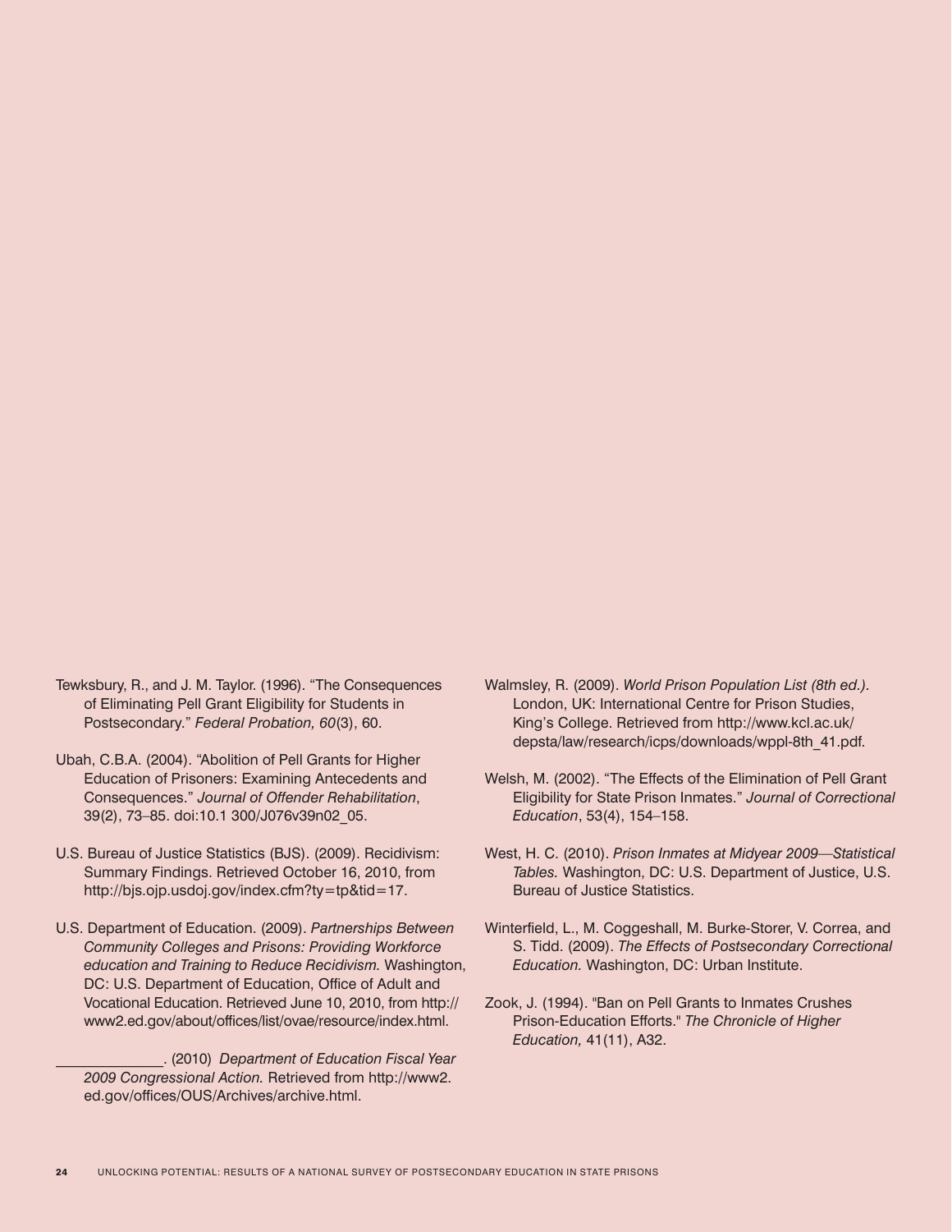- Tewksbury, R., and J. M. Taylor. (1996). "The Consequences of Eliminating Pell Grant Eligibility for Students in Postsecondary." *Federal Probation, 60*(3), 60.
- Ubah, C.B.A. (2004). "Abolition of Pell Grants for Higher Education of Prisoners: Examining Antecedents and Consequences." *Journal of Offender Rehabilitation*, 39(2), 73–85. doi:10.1 300/J076v39n02\_05.
- U.S. Bureau of Justice Statistics (BJS). (2009). Recidivism: Summary Findings. Retrieved October 16, 2010, from http://bjs.ojp.usdoj.gov/index.cfm?ty=tp&tid=17.
- U.S. Department of Education. (2009). *Partnerships Between Community Colleges and Prisons: Providing Workforce education and Training to Reduce Recidivism.* Washington, DC: U.S. Department of Education, Office of Adult and Vocational Education. Retrieved June 10, 2010, from http:// www2.ed.gov/about/offices/list/ovae/resource/index.html.

\_\_\_\_\_\_\_\_\_\_\_\_\_\_\_. (2010) *Department of Education Fiscal Year 2009 Congressional Action.* Retrieved from http://www2. ed.gov/offices/OUS/Archives/archive.html.

- Walmsley, R. (2009). *World Prison Population List (8th ed.).*  London, UK: International Centre for Prison Studies, King's College. Retrieved from http://www.kcl.ac.uk/ depsta/law/research/icps/downloads/wppl-8th\_41.pdf.
- Welsh, M. (2002). "The Effects of the Elimination of Pell Grant Eligibility for State Prison Inmates." *Journal of Correctional Education*, 53(4), 154–158.
- West, H. C. (2010). *Prison Inmates at Midyear 2009—Statistical Tables.* Washington, DC: U.S. Department of Justice, U.S. Bureau of Justice Statistics.
- Winterfield, L., M. Coggeshall, M. Burke-Storer, V. Correa, and S. Tidd. (2009). *The Effects of Postsecondary Correctional Education.* Washington, DC: Urban Institute.
- Zook, J. (1994). "Ban on Pell Grants to Inmates Crushes Prison-Education Efforts." *The Chronicle of Higher Education,* 41(11), A32.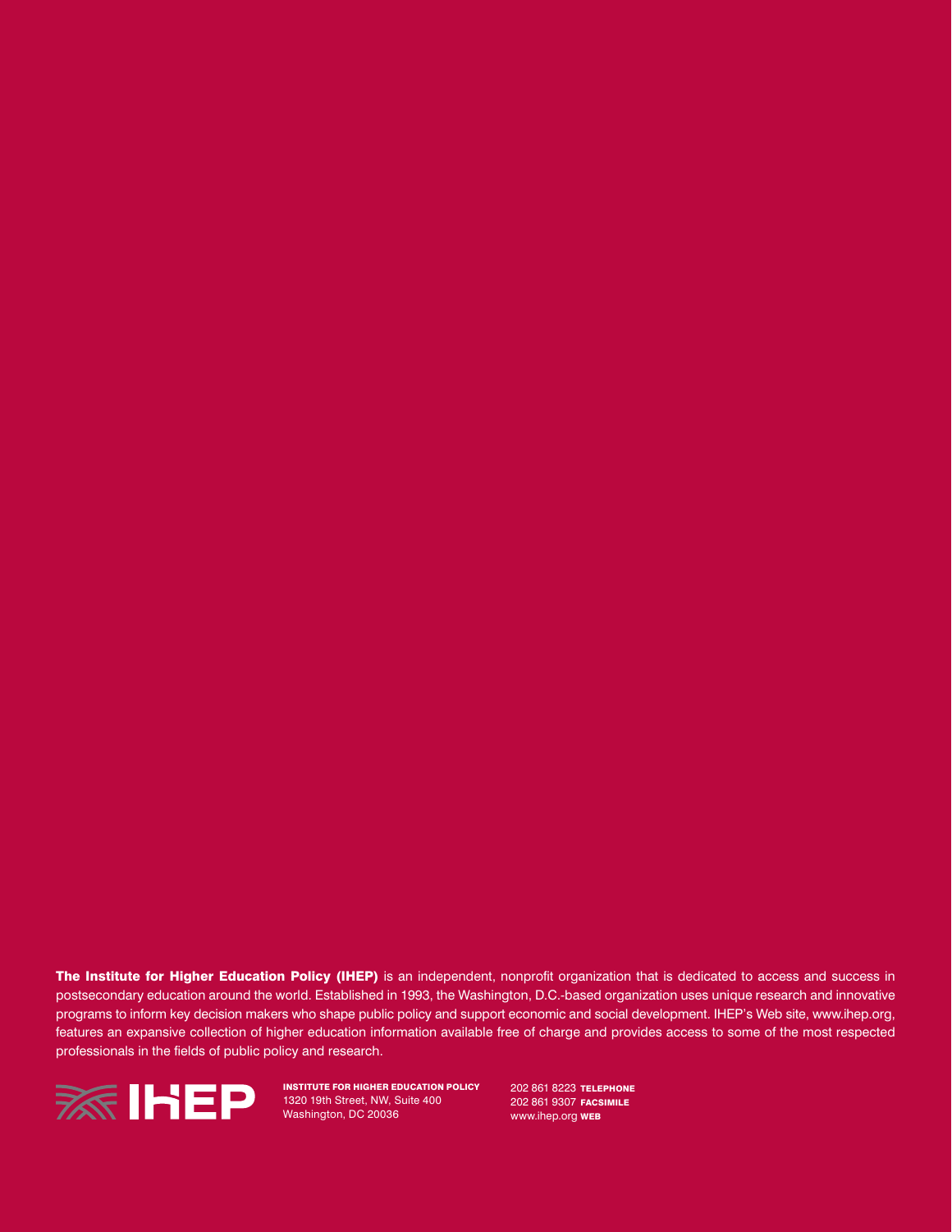The Institute for Higher Education Policy (IHEP) is an independent, nonprofit organization that is dedicated to access and success in postsecondary education around the world. Established in 1993, the Washington, D.C.-based organization uses unique research and innovative programs to inform key decision makers who shape public policy and support economic and social development. IHEP's Web site, www.ihep.org, features an expansive collection of higher education information available free of charge and provides access to some of the most respected professionals in the fields of public policy and research.



Institute for Higher Education Policy 1320 19th Street, NW, Suite 400 Washington, DC 20036

202 861 8223 TELEPHONE 202 861 9307 FACSIMILE www.ihep.org **WEB**